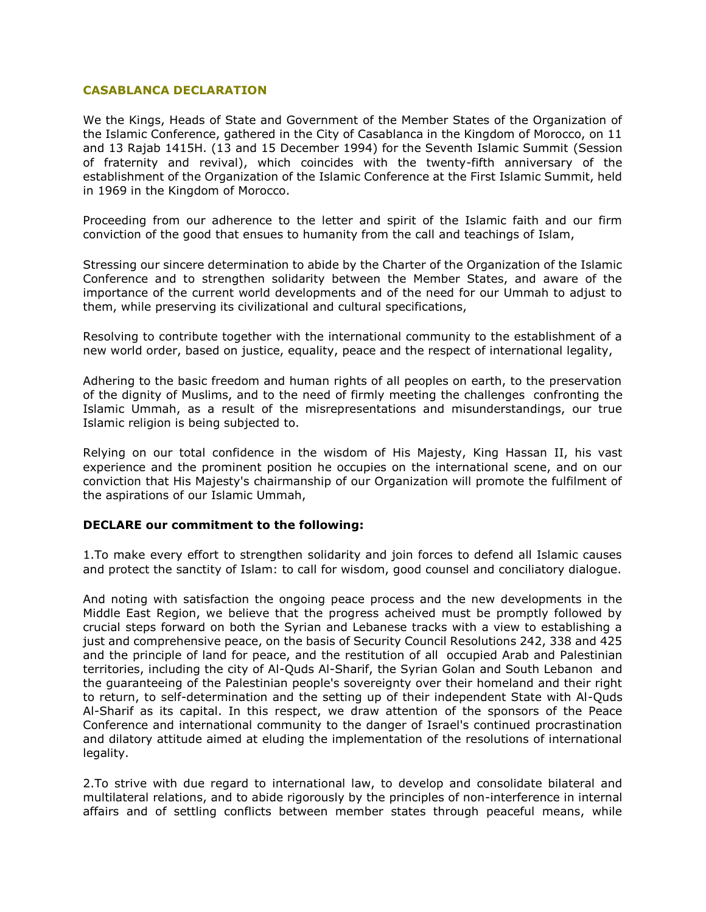#### **CASABLANCA DECLARATION**

We the Kings, Heads of State and Government of the Member States of the Organization of the Islamic Conference, gathered in the City of Casablanca in the Kingdom of Morocco, on 11 and 13 Rajab 1415H. (13 and 15 December 1994) for the Seventh Islamic Summit (Session of fraternity and revival), which coincides with the twenty-fifth anniversary of the establishment of the Organization of the Islamic Conference at the First Islamic Summit, held in 1969 in the Kingdom of Morocco.

Proceeding from our adherence to the letter and spirit of the Islamic faith and our firm conviction of the good that ensues to humanity from the call and teachings of Islam,

Stressing our sincere determination to abide by the Charter of the Organization of the Islamic Conference and to strengthen solidarity between the Member States, and aware of the importance of the current world developments and of the need for our Ummah to adjust to them, while preserving its civilizational and cultural specifications,

Resolving to contribute together with the international community to the establishment of a new world order, based on justice, equality, peace and the respect of international legality,

Adhering to the basic freedom and human rights of all peoples on earth, to the preservation of the dignity of Muslims, and to the need of firmly meeting the challenges confronting the Islamic Ummah, as a result of the misrepresentations and misunderstandings, our true Islamic religion is being subjected to.

Relying on our total confidence in the wisdom of His Majesty, King Hassan II, his vast experience and the prominent position he occupies on the international scene, and on our conviction that His Majesty's chairmanship of our Organization will promote the fulfilment of the aspirations of our Islamic Ummah,

# **DECLARE our commitment to the following:**

1.To make every effort to strengthen solidarity and join forces to defend all Islamic causes and protect the sanctity of Islam: to call for wisdom, good counsel and conciliatory dialogue.

And noting with satisfaction the ongoing peace process and the new developments in the Middle East Region, we believe that the progress acheived must be promptly followed by crucial steps forward on both the Syrian and Lebanese tracks with a view to establishing a just and comprehensive peace, on the basis of Security Council Resolutions 242, 338 and 425 and the principle of land for peace, and the restitution of all occupied Arab and Palestinian territories, including the city of Al-Quds Al-Sharif, the Syrian Golan and South Lebanon and the guaranteeing of the Palestinian people's sovereignty over their homeland and their right to return, to self-determination and the setting up of their independent State with Al-Quds Al-Sharif as its capital. In this respect, we draw attention of the sponsors of the Peace Conference and international community to the danger of Israel's continued procrastination and dilatory attitude aimed at eluding the implementation of the resolutions of international legality.

2.To strive with due regard to international law, to develop and consolidate bilateral and multilateral relations, and to abide rigorously by the principles of non-interference in internal affairs and of settling conflicts between member states through peaceful means, while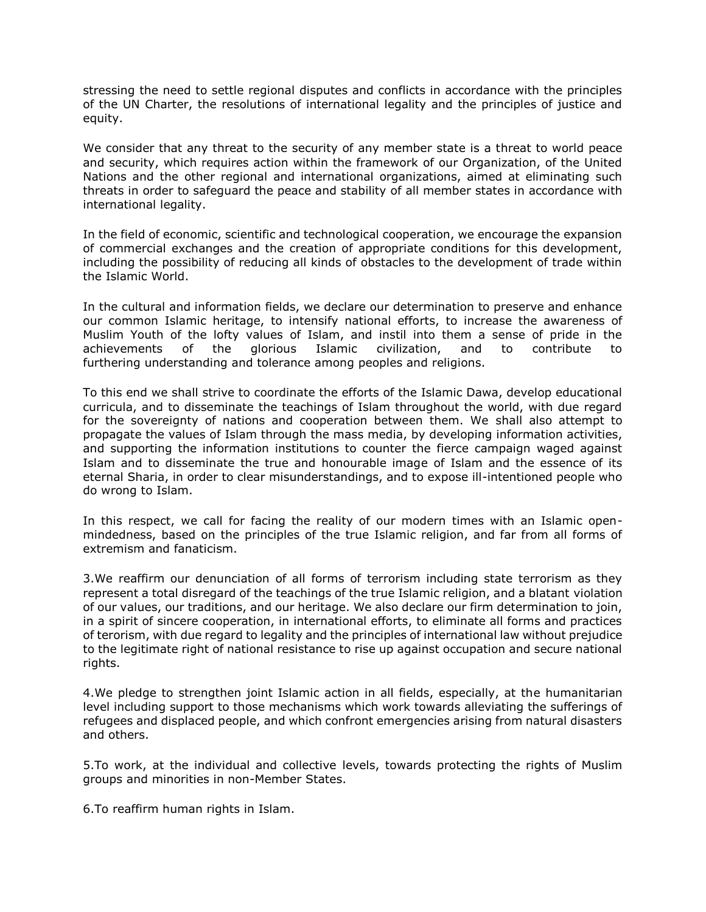stressing the need to settle regional disputes and conflicts in accordance with the principles of the UN Charter, the resolutions of international legality and the principles of justice and equity.

We consider that any threat to the security of any member state is a threat to world peace and security, which requires action within the framework of our Organization, of the United Nations and the other regional and international organizations, aimed at eliminating such threats in order to safeguard the peace and stability of all member states in accordance with international legality.

In the field of economic, scientific and technological cooperation, we encourage the expansion of commercial exchanges and the creation of appropriate conditions for this development, including the possibility of reducing all kinds of obstacles to the development of trade within the Islamic World.

In the cultural and information fields, we declare our determination to preserve and enhance our common Islamic heritage, to intensify national efforts, to increase the awareness of Muslim Youth of the lofty values of Islam, and instil into them a sense of pride in the achievements of the glorious Islamic civilization, and to contribute to furthering understanding and tolerance among peoples and religions.

To this end we shall strive to coordinate the efforts of the Islamic Dawa, develop educational curricula, and to disseminate the teachings of Islam throughout the world, with due regard for the sovereignty of nations and cooperation between them. We shall also attempt to propagate the values of Islam through the mass media, by developing information activities, and supporting the information institutions to counter the fierce campaign waged against Islam and to disseminate the true and honourable image of Islam and the essence of its eternal Sharia, in order to clear misunderstandings, and to expose ill-intentioned people who do wrong to Islam.

In this respect, we call for facing the reality of our modern times with an Islamic openmindedness, based on the principles of the true Islamic religion, and far from all forms of extremism and fanaticism.

3.We reaffirm our denunciation of all forms of terrorism including state terrorism as they represent a total disregard of the teachings of the true Islamic religion, and a blatant violation of our values, our traditions, and our heritage. We also declare our firm determination to join, in a spirit of sincere cooperation, in international efforts, to eliminate all forms and practices of terorism, with due regard to legality and the principles of international law without prejudice to the legitimate right of national resistance to rise up against occupation and secure national rights.

4.We pledge to strengthen joint Islamic action in all fields, especially, at the humanitarian level including support to those mechanisms which work towards alleviating the sufferings of refugees and displaced people, and which confront emergencies arising from natural disasters and others.

5.To work, at the individual and collective levels, towards protecting the rights of Muslim groups and minorities in non-Member States.

6.To reaffirm human rights in Islam.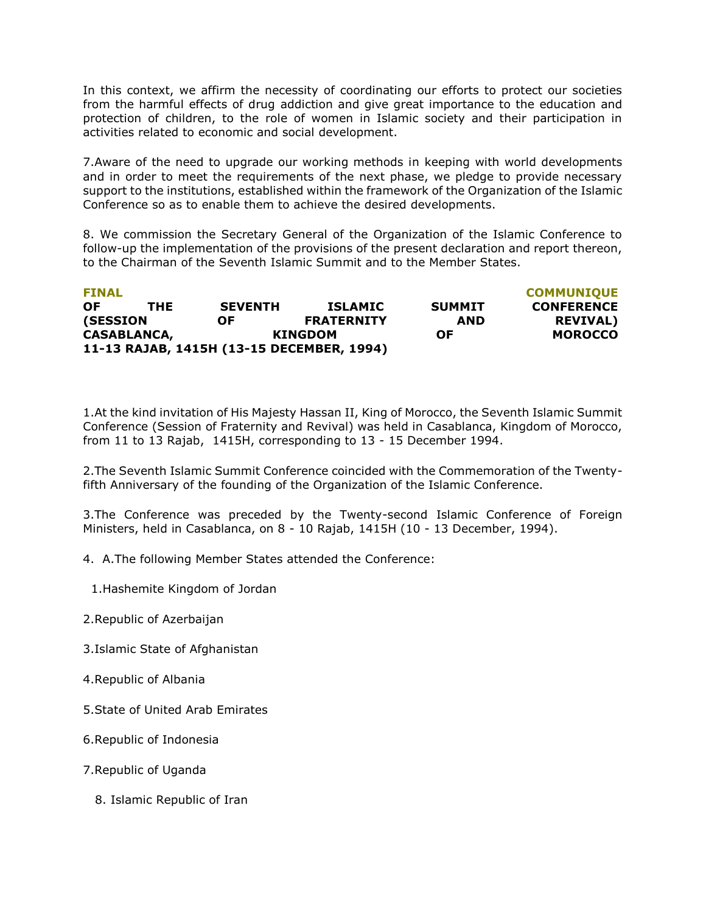In this context, we affirm the necessity of coordinating our efforts to protect our societies from the harmful effects of drug addiction and give great importance to the education and protection of children, to the role of women in Islamic society and their participation in activities related to economic and social development.

7.Aware of the need to upgrade our working methods in keeping with world developments and in order to meet the requirements of the next phase, we pledge to provide necessary support to the institutions, established within the framework of the Organization of the Islamic Conference so as to enable them to achieve the desired developments.

8. We commission the Secretary General of the Organization of the Islamic Conference to follow-up the implementation of the provisions of the present declaration and report thereon, to the Chairman of the Seventh Islamic Summit and to the Member States.

| <b>FINAL</b>                              |      |                |                   |               | <b>COMMUNIQUE</b> |
|-------------------------------------------|------|----------------|-------------------|---------------|-------------------|
| <b>OF</b>                                 | THE. | <b>SEVENTH</b> | <b>ISLAMIC</b>    | <b>SUMMIT</b> | <b>CONFERENCE</b> |
| <b>(SESSION</b>                           |      | ΟF             | <b>FRATERNITY</b> | <b>AND</b>    | <b>REVIVAL)</b>   |
| <b>CASABLANCA,</b>                        |      |                | <b>KINGDOM</b>    |               | <b>MOROCCO</b>    |
| 11-13 RAJAB, 1415H (13-15 DECEMBER, 1994) |      |                |                   |               |                   |

1.At the kind invitation of His Majesty Hassan II, King of Morocco, the Seventh Islamic Summit Conference (Session of Fraternity and Revival) was held in Casablanca, Kingdom of Morocco, from 11 to 13 Rajab, 1415H, corresponding to 13 - 15 December 1994.

2.The Seventh Islamic Summit Conference coincided with the Commemoration of the Twentyfifth Anniversary of the founding of the Organization of the Islamic Conference.

3.The Conference was preceded by the Twenty-second Islamic Conference of Foreign Ministers, held in Casablanca, on 8 - 10 Rajab, 1415H (10 - 13 December, 1994).

- 4. A.The following Member States attended the Conference:
	- 1.Hashemite Kingdom of Jordan
- 2.Republic of Azerbaijan
- 3.Islamic State of Afghanistan
- 4.Republic of Albania
- 5.State of United Arab Emirates
- 6.Republic of Indonesia
- 7.Republic of Uganda
	- 8. Islamic Republic of Iran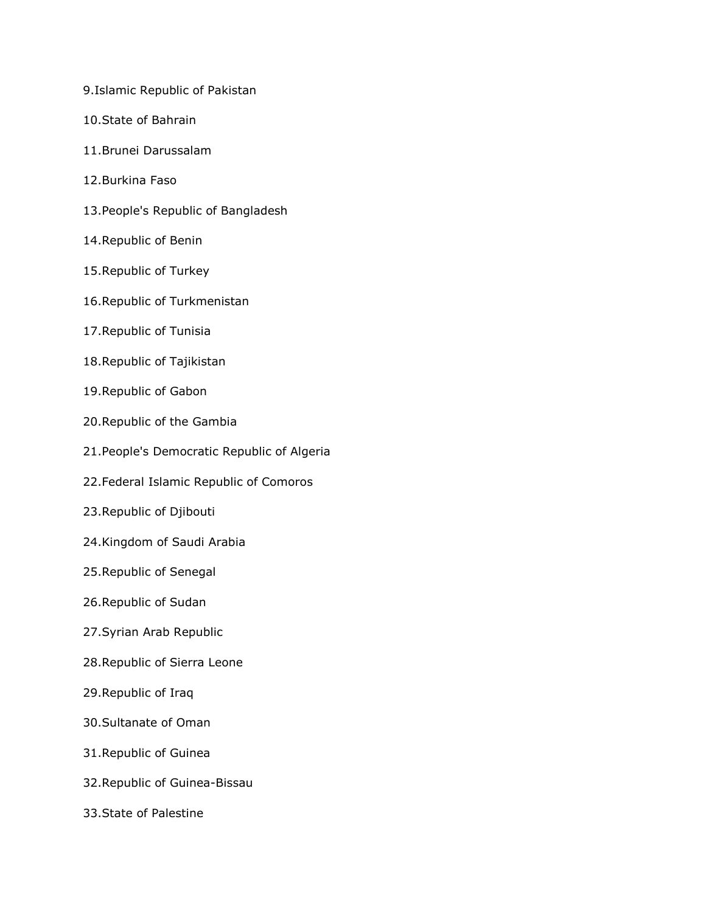- 9.Islamic Republic of Pakistan
- 10.State of Bahrain
- 11.Brunei Darussalam
- 12.Burkina Faso
- 13.People's Republic of Bangladesh
- 14.Republic of Benin
- 15.Republic of Turkey
- 16.Republic of Turkmenistan
- 17.Republic of Tunisia
- 18.Republic of Tajikistan
- 19.Republic of Gabon
- 20.Republic of the Gambia
- 21.People's Democratic Republic of Algeria
- 22.Federal Islamic Republic of Comoros
- 23.Republic of Djibouti
- 24.Kingdom of Saudi Arabia
- 25.Republic of Senegal
- 26.Republic of Sudan
- 27.Syrian Arab Republic
- 28.Republic of Sierra Leone
- 29.Republic of Iraq
- 30.Sultanate of Oman
- 31.Republic of Guinea
- 32.Republic of Guinea-Bissau
- 33.State of Palestine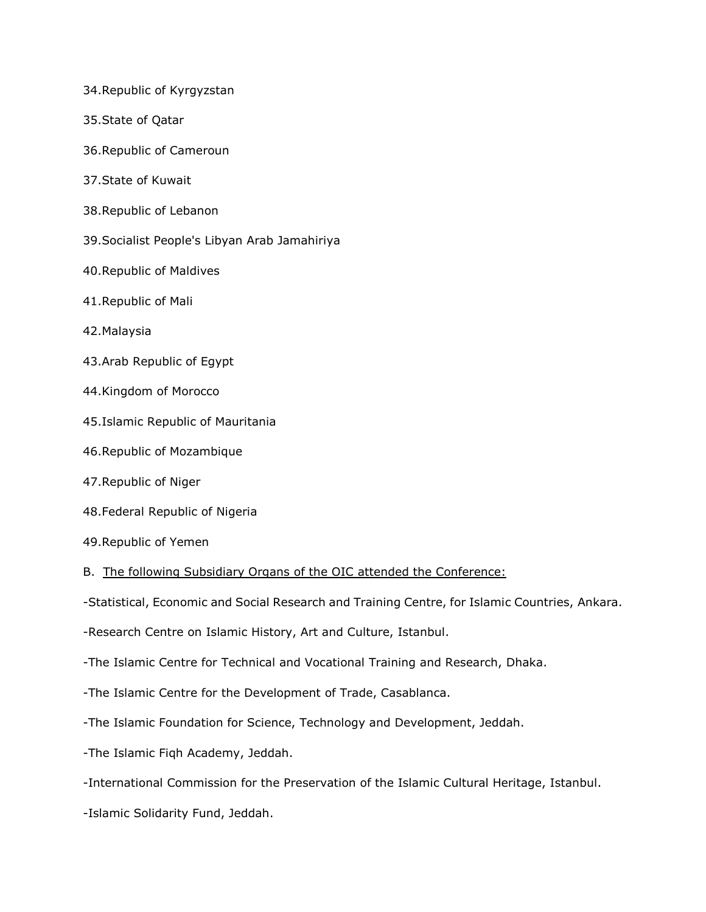- 34.Republic of Kyrgyzstan
- 35.State of Qatar
- 36.Republic of Cameroun
- 37.State of Kuwait
- 38.Republic of Lebanon
- 39.Socialist People's Libyan Arab Jamahiriya
- 40.Republic of Maldives
- 41.Republic of Mali
- 42.Malaysia
- 43.Arab Republic of Egypt
- 44.Kingdom of Morocco
- 45.Islamic Republic of Mauritania
- 46.Republic of Mozambique
- 47.Republic of Niger
- 48.Federal Republic of Nigeria
- 49.Republic of Yemen
- B. The following Subsidiary Organs of the OIC attended the Conference:

-Statistical, Economic and Social Research and Training Centre, for Islamic Countries, Ankara.

-Research Centre on Islamic History, Art and Culture, Istanbul.

-The Islamic Centre for Technical and Vocational Training and Research, Dhaka.

- -The Islamic Centre for the Development of Trade, Casablanca.
- -The Islamic Foundation for Science, Technology and Development, Jeddah.
- -The Islamic Fiqh Academy, Jeddah.

-International Commission for the Preservation of the Islamic Cultural Heritage, Istanbul.

-Islamic Solidarity Fund, Jeddah.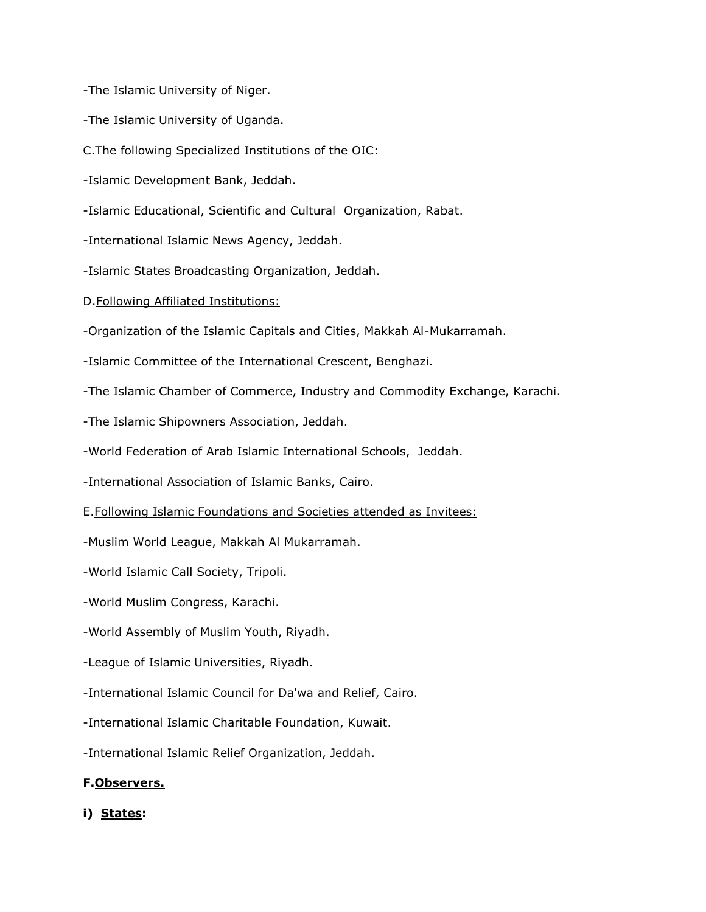-The Islamic University of Niger.

-The Islamic University of Uganda.

C.The following Specialized Institutions of the OIC:

-Islamic Development Bank, Jeddah.

-Islamic Educational, Scientific and Cultural Organization, Rabat.

-International Islamic News Agency, Jeddah.

-Islamic States Broadcasting Organization, Jeddah.

D.Following Affiliated Institutions:

-Organization of the Islamic Capitals and Cities, Makkah Al-Mukarramah.

-Islamic Committee of the International Crescent, Benghazi.

-The Islamic Chamber of Commerce, Industry and Commodity Exchange, Karachi.

-The Islamic Shipowners Association, Jeddah.

-World Federation of Arab Islamic International Schools, Jeddah.

-International Association of Islamic Banks, Cairo.

E.Following Islamic Foundations and Societies attended as Invitees:

-Muslim World League, Makkah Al Mukarramah.

-World Islamic Call Society, Tripoli.

-World Muslim Congress, Karachi.

-World Assembly of Muslim Youth, Riyadh.

-League of Islamic Universities, Riyadh.

-International Islamic Council for Da'wa and Relief, Cairo.

-International Islamic Charitable Foundation, Kuwait.

-International Islamic Relief Organization, Jeddah.

# **F.Observers.**

# **i) States:**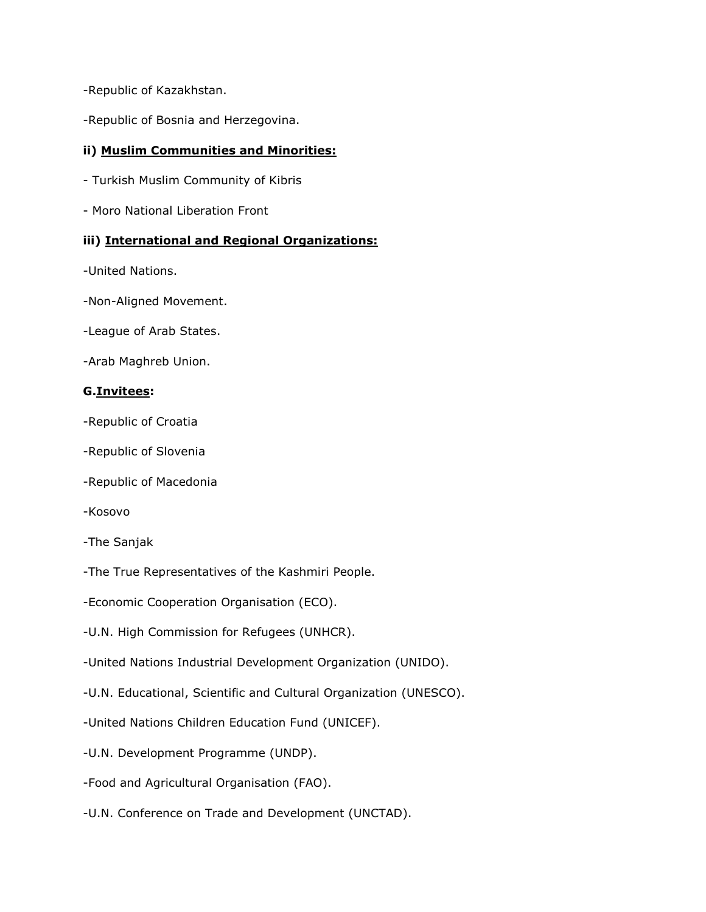-Republic of Kazakhstan.

-Republic of Bosnia and Herzegovina.

# **ii) Muslim Communities and Minorities:**

- Turkish Muslim Community of Kibris
- Moro National Liberation Front

# **iii) International and Regional Organizations:**

- -United Nations.
- -Non-Aligned Movement.
- -League of Arab States.
- -Arab Maghreb Union.

# **G.Invitees:**

- -Republic of Croatia
- -Republic of Slovenia
- -Republic of Macedonia
- -Kosovo
- -The Sanjak
- -The True Representatives of the Kashmiri People.
- -Economic Cooperation Organisation (ECO).
- -U.N. High Commission for Refugees (UNHCR).
- -United Nations Industrial Development Organization (UNIDO).
- -U.N. Educational, Scientific and Cultural Organization (UNESCO).
- -United Nations Children Education Fund (UNICEF).
- -U.N. Development Programme (UNDP).
- -Food and Agricultural Organisation (FAO).
- -U.N. Conference on Trade and Development (UNCTAD).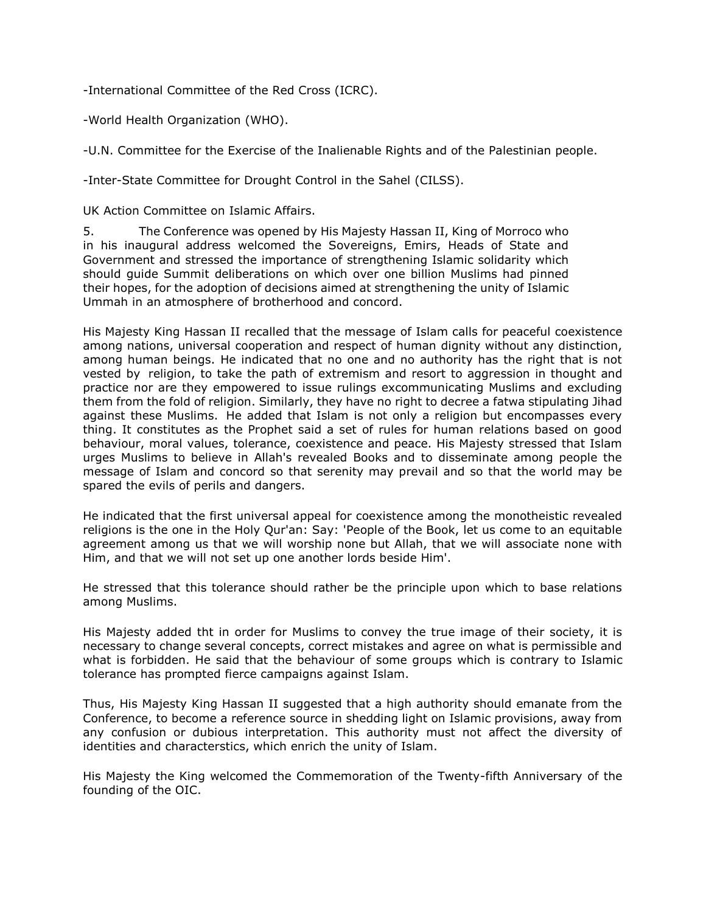-International Committee of the Red Cross (ICRC).

-World Health Organization (WHO).

-U.N. Committee for the Exercise of the Inalienable Rights and of the Palestinian people.

-Inter-State Committee for Drought Control in the Sahel (CILSS).

UK Action Committee on Islamic Affairs.

5. The Conference was opened by His Majesty Hassan II, King of Morroco who in his inaugural address welcomed the Sovereigns, Emirs, Heads of State and Government and stressed the importance of strengthening Islamic solidarity which should guide Summit deliberations on which over one billion Muslims had pinned their hopes, for the adoption of decisions aimed at strengthening the unity of Islamic Ummah in an atmosphere of brotherhood and concord.

His Majesty King Hassan II recalled that the message of Islam calls for peaceful coexistence among nations, universal cooperation and respect of human dignity without any distinction, among human beings. He indicated that no one and no authority has the right that is not vested by religion, to take the path of extremism and resort to aggression in thought and practice nor are they empowered to issue rulings excommunicating Muslims and excluding them from the fold of religion. Similarly, they have no right to decree a fatwa stipulating Jihad against these Muslims. He added that Islam is not only a religion but encompasses every thing. It constitutes as the Prophet said a set of rules for human relations based on good behaviour, moral values, tolerance, coexistence and peace. His Majesty stressed that Islam urges Muslims to believe in Allah's revealed Books and to disseminate among people the message of Islam and concord so that serenity may prevail and so that the world may be spared the evils of perils and dangers.

He indicated that the first universal appeal for coexistence among the monotheistic revealed religions is the one in the Holy Qur'an: Say: 'People of the Book, let us come to an equitable agreement among us that we will worship none but Allah, that we will associate none with Him, and that we will not set up one another lords beside Him'.

He stressed that this tolerance should rather be the principle upon which to base relations among Muslims.

His Majesty added tht in order for Muslims to convey the true image of their society, it is necessary to change several concepts, correct mistakes and agree on what is permissible and what is forbidden. He said that the behaviour of some groups which is contrary to Islamic tolerance has prompted fierce campaigns against Islam.

Thus, His Majesty King Hassan II suggested that a high authority should emanate from the Conference, to become a reference source in shedding light on Islamic provisions, away from any confusion or dubious interpretation. This authority must not affect the diversity of identities and characterstics, which enrich the unity of Islam.

His Majesty the King welcomed the Commemoration of the Twenty-fifth Anniversary of the founding of the OIC.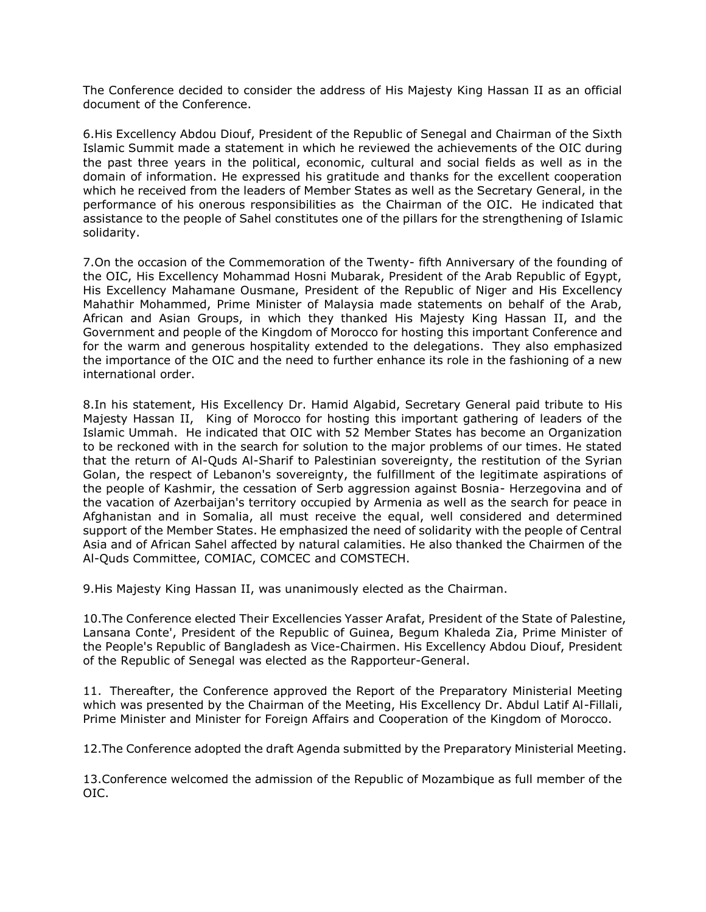The Conference decided to consider the address of His Majesty King Hassan II as an official document of the Conference.

6.His Excellency Abdou Diouf, President of the Republic of Senegal and Chairman of the Sixth Islamic Summit made a statement in which he reviewed the achievements of the OIC during the past three years in the political, economic, cultural and social fields as well as in the domain of information. He expressed his gratitude and thanks for the excellent cooperation which he received from the leaders of Member States as well as the Secretary General, in the performance of his onerous responsibilities as the Chairman of the OIC. He indicated that assistance to the people of Sahel constitutes one of the pillars for the strengthening of Islamic solidarity.

7.On the occasion of the Commemoration of the Twenty- fifth Anniversary of the founding of the OIC, His Excellency Mohammad Hosni Mubarak, President of the Arab Republic of Egypt, His Excellency Mahamane Ousmane, President of the Republic of Niger and His Excellency Mahathir Mohammed, Prime Minister of Malaysia made statements on behalf of the Arab, African and Asian Groups, in which they thanked His Majesty King Hassan II, and the Government and people of the Kingdom of Morocco for hosting this important Conference and for the warm and generous hospitality extended to the delegations. They also emphasized the importance of the OIC and the need to further enhance its role in the fashioning of a new international order.

8.In his statement, His Excellency Dr. Hamid Algabid, Secretary General paid tribute to His Majesty Hassan II, King of Morocco for hosting this important gathering of leaders of the Islamic Ummah. He indicated that OIC with 52 Member States has become an Organization to be reckoned with in the search for solution to the major problems of our times. He stated that the return of Al-Quds Al-Sharif to Palestinian sovereignty, the restitution of the Syrian Golan, the respect of Lebanon's sovereignty, the fulfillment of the legitimate aspirations of the people of Kashmir, the cessation of Serb aggression against Bosnia- Herzegovina and of the vacation of Azerbaijan's territory occupied by Armenia as well as the search for peace in Afghanistan and in Somalia, all must receive the equal, well considered and determined support of the Member States. He emphasized the need of solidarity with the people of Central Asia and of African Sahel affected by natural calamities. He also thanked the Chairmen of the Al-Quds Committee, COMIAC, COMCEC and COMSTECH.

9.His Majesty King Hassan II, was unanimously elected as the Chairman.

10.The Conference elected Their Excellencies Yasser Arafat, President of the State of Palestine, Lansana Conte', President of the Republic of Guinea, Begum Khaleda Zia, Prime Minister of the People's Republic of Bangladesh as Vice-Chairmen. His Excellency Abdou Diouf, President of the Republic of Senegal was elected as the Rapporteur-General.

11. Thereafter, the Conference approved the Report of the Preparatory Ministerial Meeting which was presented by the Chairman of the Meeting, His Excellency Dr. Abdul Latif Al-Fillali, Prime Minister and Minister for Foreign Affairs and Cooperation of the Kingdom of Morocco.

12.The Conference adopted the draft Agenda submitted by the Preparatory Ministerial Meeting.

13.Conference welcomed the admission of the Republic of Mozambique as full member of the OIC.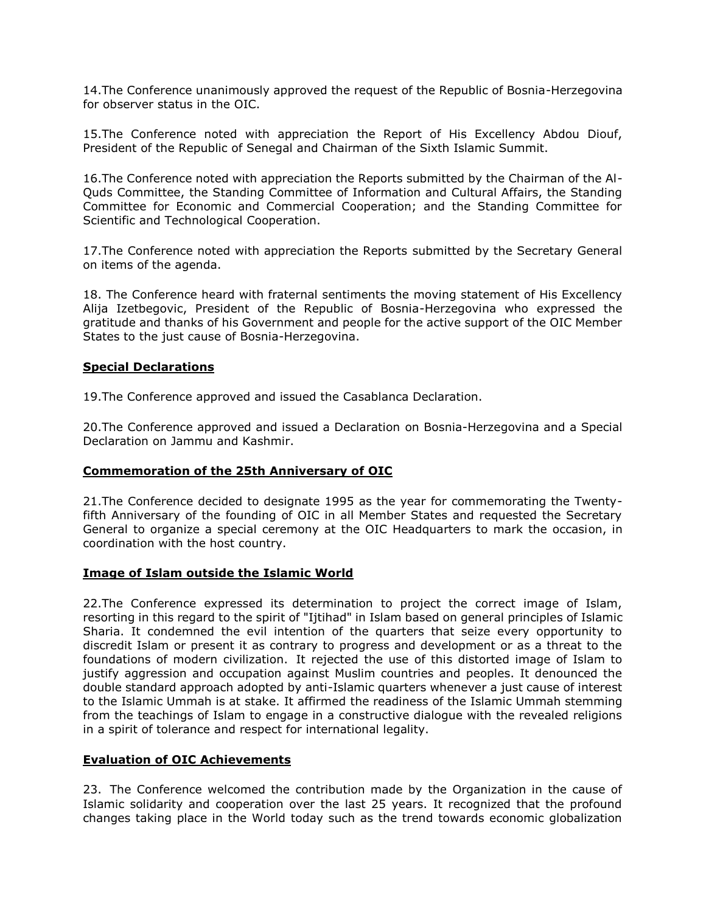14.The Conference unanimously approved the request of the Republic of Bosnia-Herzegovina for observer status in the OIC.

15.The Conference noted with appreciation the Report of His Excellency Abdou Diouf, President of the Republic of Senegal and Chairman of the Sixth Islamic Summit.

16.The Conference noted with appreciation the Reports submitted by the Chairman of the Al-Quds Committee, the Standing Committee of Information and Cultural Affairs, the Standing Committee for Economic and Commercial Cooperation; and the Standing Committee for Scientific and Technological Cooperation.

17.The Conference noted with appreciation the Reports submitted by the Secretary General on items of the agenda.

18. The Conference heard with fraternal sentiments the moving statement of His Excellency Alija Izetbegovic, President of the Republic of Bosnia-Herzegovina who expressed the gratitude and thanks of his Government and people for the active support of the OIC Member States to the just cause of Bosnia-Herzegovina.

# **Special Declarations**

19.The Conference approved and issued the Casablanca Declaration.

20.The Conference approved and issued a Declaration on Bosnia-Herzegovina and a Special Declaration on Jammu and Kashmir.

#### **Commemoration of the 25th Anniversary of OIC**

21.The Conference decided to designate 1995 as the year for commemorating the Twentyfifth Anniversary of the founding of OIC in all Member States and requested the Secretary General to organize a special ceremony at the OIC Headquarters to mark the occasion, in coordination with the host country.

#### **Image of Islam outside the Islamic World**

22.The Conference expressed its determination to project the correct image of Islam, resorting in this regard to the spirit of "Ijtihad" in Islam based on general principles of Islamic Sharia. It condemned the evil intention of the quarters that seize every opportunity to discredit Islam or present it as contrary to progress and development or as a threat to the foundations of modern civilization. It rejected the use of this distorted image of Islam to justify aggression and occupation against Muslim countries and peoples. It denounced the double standard approach adopted by anti-Islamic quarters whenever a just cause of interest to the Islamic Ummah is at stake. It affirmed the readiness of the Islamic Ummah stemming from the teachings of Islam to engage in a constructive dialogue with the revealed religions in a spirit of tolerance and respect for international legality.

# **Evaluation of OIC Achievements**

23. The Conference welcomed the contribution made by the Organization in the cause of Islamic solidarity and cooperation over the last 25 years. It recognized that the profound changes taking place in the World today such as the trend towards economic globalization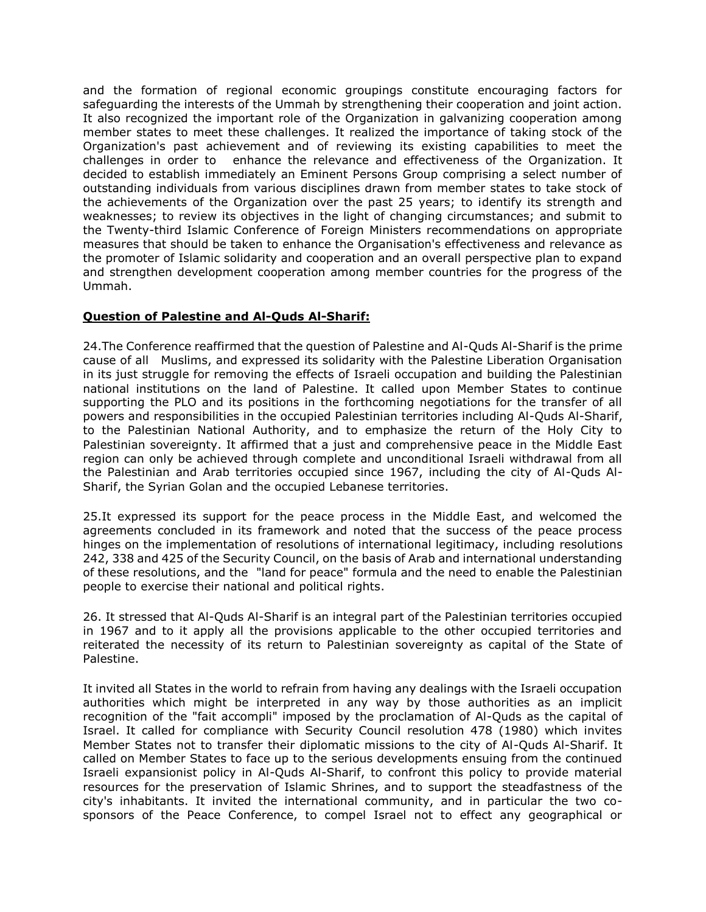and the formation of regional economic groupings constitute encouraging factors for safeguarding the interests of the Ummah by strengthening their cooperation and joint action. It also recognized the important role of the Organization in galvanizing cooperation among member states to meet these challenges. It realized the importance of taking stock of the Organization's past achievement and of reviewing its existing capabilities to meet the challenges in order to enhance the relevance and effectiveness of the Organization. It decided to establish immediately an Eminent Persons Group comprising a select number of outstanding individuals from various disciplines drawn from member states to take stock of the achievements of the Organization over the past 25 years; to identify its strength and weaknesses; to review its objectives in the light of changing circumstances; and submit to the Twenty-third Islamic Conference of Foreign Ministers recommendations on appropriate measures that should be taken to enhance the Organisation's effectiveness and relevance as the promoter of Islamic solidarity and cooperation and an overall perspective plan to expand and strengthen development cooperation among member countries for the progress of the Ummah.

# **Question of Palestine and Al-Quds Al-Sharif:**

24.The Conference reaffirmed that the question of Palestine and Al-Quds Al-Sharif is the prime cause of all Muslims, and expressed its solidarity with the Palestine Liberation Organisation in its just struggle for removing the effects of Israeli occupation and building the Palestinian national institutions on the land of Palestine. It called upon Member States to continue supporting the PLO and its positions in the forthcoming negotiations for the transfer of all powers and responsibilities in the occupied Palestinian territories including Al-Quds Al-Sharif, to the Palestinian National Authority, and to emphasize the return of the Holy City to Palestinian sovereignty. It affirmed that a just and comprehensive peace in the Middle East region can only be achieved through complete and unconditional Israeli withdrawal from all the Palestinian and Arab territories occupied since 1967, including the city of Al-Quds Al-Sharif, the Syrian Golan and the occupied Lebanese territories.

25.It expressed its support for the peace process in the Middle East, and welcomed the agreements concluded in its framework and noted that the success of the peace process hinges on the implementation of resolutions of international legitimacy, including resolutions 242, 338 and 425 of the Security Council, on the basis of Arab and international understanding of these resolutions, and the "land for peace" formula and the need to enable the Palestinian people to exercise their national and political rights.

26. It stressed that Al-Quds Al-Sharif is an integral part of the Palestinian territories occupied in 1967 and to it apply all the provisions applicable to the other occupied territories and reiterated the necessity of its return to Palestinian sovereignty as capital of the State of Palestine.

It invited all States in the world to refrain from having any dealings with the Israeli occupation authorities which might be interpreted in any way by those authorities as an implicit recognition of the "fait accompli" imposed by the proclamation of Al-Quds as the capital of Israel. It called for compliance with Security Council resolution 478 (1980) which invites Member States not to transfer their diplomatic missions to the city of Al-Quds Al-Sharif. It called on Member States to face up to the serious developments ensuing from the continued Israeli expansionist policy in Al-Quds Al-Sharif, to confront this policy to provide material resources for the preservation of Islamic Shrines, and to support the steadfastness of the city's inhabitants. It invited the international community, and in particular the two cosponsors of the Peace Conference, to compel Israel not to effect any geographical or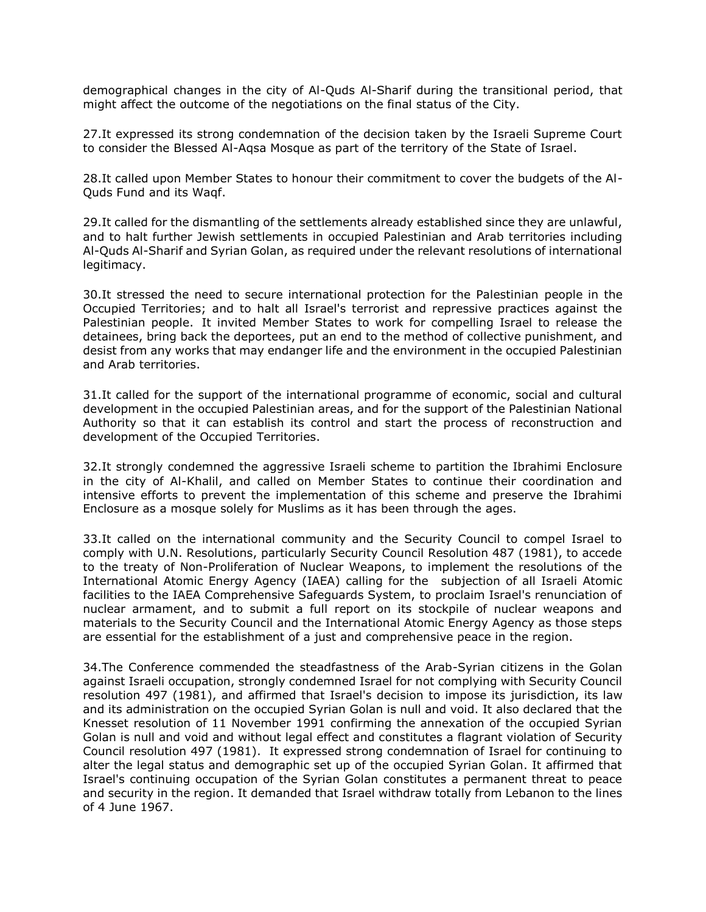demographical changes in the city of Al-Quds Al-Sharif during the transitional period, that might affect the outcome of the negotiations on the final status of the City.

27.It expressed its strong condemnation of the decision taken by the Israeli Supreme Court to consider the Blessed Al-Aqsa Mosque as part of the territory of the State of Israel.

28.It called upon Member States to honour their commitment to cover the budgets of the Al-Quds Fund and its Waqf.

29.It called for the dismantling of the settlements already established since they are unlawful, and to halt further Jewish settlements in occupied Palestinian and Arab territories including Al-Quds Al-Sharif and Syrian Golan, as required under the relevant resolutions of international legitimacy.

30.It stressed the need to secure international protection for the Palestinian people in the Occupied Territories; and to halt all Israel's terrorist and repressive practices against the Palestinian people. It invited Member States to work for compelling Israel to release the detainees, bring back the deportees, put an end to the method of collective punishment, and desist from any works that may endanger life and the environment in the occupied Palestinian and Arab territories.

31.It called for the support of the international programme of economic, social and cultural development in the occupied Palestinian areas, and for the support of the Palestinian National Authority so that it can establish its control and start the process of reconstruction and development of the Occupied Territories.

32.It strongly condemned the aggressive Israeli scheme to partition the Ibrahimi Enclosure in the city of Al-Khalil, and called on Member States to continue their coordination and intensive efforts to prevent the implementation of this scheme and preserve the Ibrahimi Enclosure as a mosque solely for Muslims as it has been through the ages.

33.It called on the international community and the Security Council to compel Israel to comply with U.N. Resolutions, particularly Security Council Resolution 487 (1981), to accede to the treaty of Non-Proliferation of Nuclear Weapons, to implement the resolutions of the International Atomic Energy Agency (IAEA) calling for the subjection of all Israeli Atomic facilities to the IAEA Comprehensive Safeguards System, to proclaim Israel's renunciation of nuclear armament, and to submit a full report on its stockpile of nuclear weapons and materials to the Security Council and the International Atomic Energy Agency as those steps are essential for the establishment of a just and comprehensive peace in the region.

34.The Conference commended the steadfastness of the Arab-Syrian citizens in the Golan against Israeli occupation, strongly condemned Israel for not complying with Security Council resolution 497 (1981), and affirmed that Israel's decision to impose its jurisdiction, its law and its administration on the occupied Syrian Golan is null and void. It also declared that the Knesset resolution of 11 November 1991 confirming the annexation of the occupied Syrian Golan is null and void and without legal effect and constitutes a flagrant violation of Security Council resolution 497 (1981). It expressed strong condemnation of Israel for continuing to alter the legal status and demographic set up of the occupied Syrian Golan. It affirmed that Israel's continuing occupation of the Syrian Golan constitutes a permanent threat to peace and security in the region. It demanded that Israel withdraw totally from Lebanon to the lines of 4 June 1967.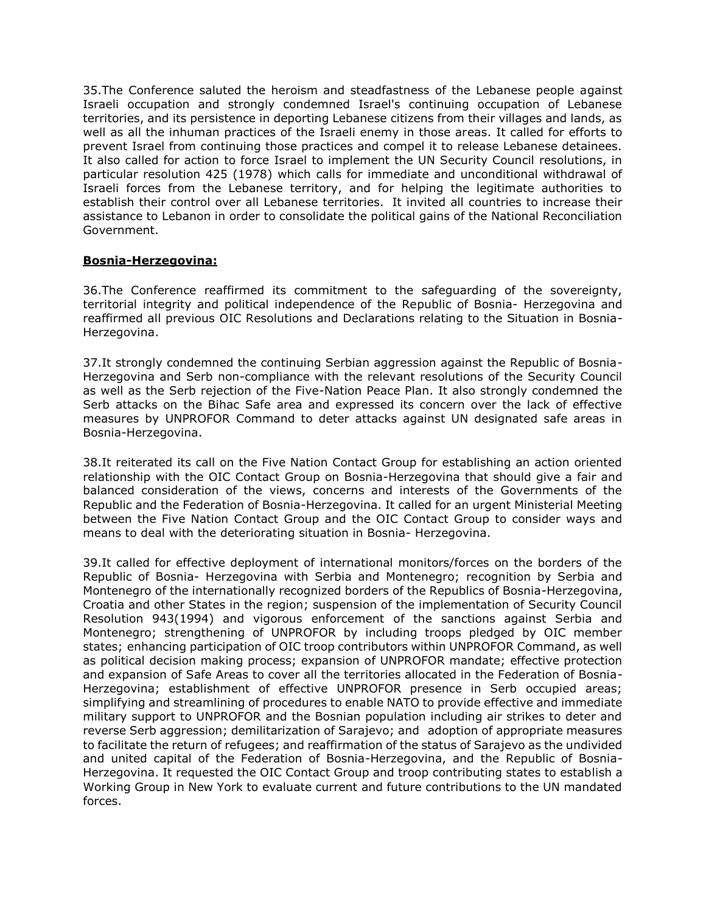35.The Conference saluted the heroism and steadfastness of the Lebanese people against Israeli occupation and strongly condemned Israel's continuing occupation of Lebanese territories, and its persistence in deporting Lebanese citizens from their villages and lands, as well as all the inhuman practices of the Israeli enemy in those areas. It called for efforts to prevent Israel from continuing those practices and compel it to release Lebanese detainees. It also called for action to force Israel to implement the UN Security Council resolutions, in particular resolution 425 (1978) which calls for immediate and unconditional withdrawal of Israeli forces from the Lebanese territory, and for helping the legitimate authorities to establish their control over all Lebanese territories. It invited all countries to increase their assistance to Lebanon in order to consolidate the political gains of the National Reconciliation Government.

# **Bosnia-Herzegovina:**

36.The Conference reaffirmed its commitment to the safeguarding of the sovereignty, territorial integrity and political independence of the Republic of Bosnia- Herzegovina and reaffirmed all previous OIC Resolutions and Declarations relating to the Situation in Bosnia-Herzegovina.

37.It strongly condemned the continuing Serbian aggression against the Republic of Bosnia-Herzegovina and Serb non-compliance with the relevant resolutions of the Security Council as well as the Serb rejection of the Five-Nation Peace Plan. It also strongly condemned the Serb attacks on the Bihac Safe area and expressed its concern over the lack of effective measures by UNPROFOR Command to deter attacks against UN designated safe areas in Bosnia-Herzegovina.

38.It reiterated its call on the Five Nation Contact Group for establishing an action oriented relationship with the OIC Contact Group on Bosnia-Herzegovina that should give a fair and balanced consideration of the views, concerns and interests of the Governments of the Republic and the Federation of Bosnia-Herzegovina. It called for an urgent Ministerial Meeting between the Five Nation Contact Group and the OIC Contact Group to consider ways and means to deal with the deteriorating situation in Bosnia- Herzegovina.

39.It called for effective deployment of international monitors/forces on the borders of the Republic of Bosnia- Herzegovina with Serbia and Montenegro; recognition by Serbia and Montenegro of the internationally recognized borders of the Republics of Bosnia-Herzegovina, Croatia and other States in the region; suspension of the implementation of Security Council Resolution 943(1994) and vigorous enforcement of the sanctions against Serbia and Montenegro; strengthening of UNPROFOR by including troops pledged by OIC member states; enhancing participation of OIC troop contributors within UNPROFOR Command, as well as political decision making process; expansion of UNPROFOR mandate; effective protection and expansion of Safe Areas to cover all the territories allocated in the Federation of Bosnia-Herzegovina; establishment of effective UNPROFOR presence in Serb occupied areas; simplifying and streamlining of procedures to enable NATO to provide effective and immediate military support to UNPROFOR and the Bosnian population including air strikes to deter and reverse Serb aggression; demilitarization of Sarajevo; and adoption of appropriate measures to facilitate the return of refugees; and reaffirmation of the status of Sarajevo as the undivided and united capital of the Federation of Bosnia-Herzegovina, and the Republic of Bosnia-Herzegovina. It requested the OIC Contact Group and troop contributing states to establish a Working Group in New York to evaluate current and future contributions to the UN mandated forces.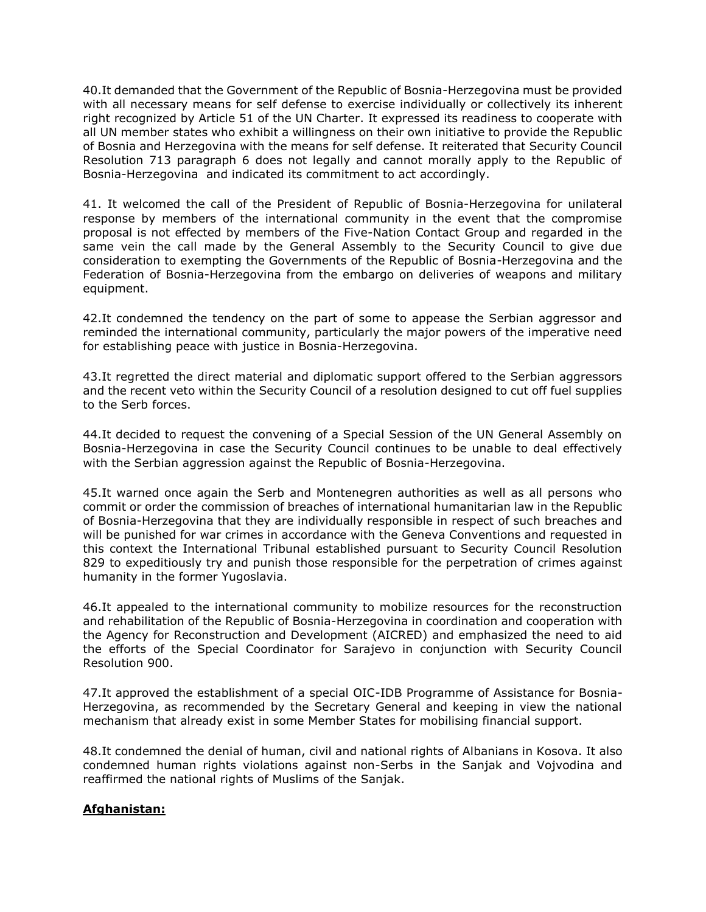40.It demanded that the Government of the Republic of Bosnia-Herzegovina must be provided with all necessary means for self defense to exercise individually or collectively its inherent right recognized by Article 51 of the UN Charter. It expressed its readiness to cooperate with all UN member states who exhibit a willingness on their own initiative to provide the Republic of Bosnia and Herzegovina with the means for self defense. It reiterated that Security Council Resolution 713 paragraph 6 does not legally and cannot morally apply to the Republic of Bosnia-Herzegovina and indicated its commitment to act accordingly.

41. It welcomed the call of the President of Republic of Bosnia-Herzegovina for unilateral response by members of the international community in the event that the compromise proposal is not effected by members of the Five-Nation Contact Group and regarded in the same vein the call made by the General Assembly to the Security Council to give due consideration to exempting the Governments of the Republic of Bosnia-Herzegovina and the Federation of Bosnia-Herzegovina from the embargo on deliveries of weapons and military equipment.

42.It condemned the tendency on the part of some to appease the Serbian aggressor and reminded the international community, particularly the major powers of the imperative need for establishing peace with justice in Bosnia-Herzegovina.

43.It regretted the direct material and diplomatic support offered to the Serbian aggressors and the recent veto within the Security Council of a resolution designed to cut off fuel supplies to the Serb forces.

44.It decided to request the convening of a Special Session of the UN General Assembly on Bosnia-Herzegovina in case the Security Council continues to be unable to deal effectively with the Serbian aggression against the Republic of Bosnia-Herzegovina.

45.It warned once again the Serb and Montenegren authorities as well as all persons who commit or order the commission of breaches of international humanitarian law in the Republic of Bosnia-Herzegovina that they are individually responsible in respect of such breaches and will be punished for war crimes in accordance with the Geneva Conventions and requested in this context the International Tribunal established pursuant to Security Council Resolution 829 to expeditiously try and punish those responsible for the perpetration of crimes against humanity in the former Yugoslavia.

46.It appealed to the international community to mobilize resources for the reconstruction and rehabilitation of the Republic of Bosnia-Herzegovina in coordination and cooperation with the Agency for Reconstruction and Development (AICRED) and emphasized the need to aid the efforts of the Special Coordinator for Sarajevo in conjunction with Security Council Resolution 900.

47.It approved the establishment of a special OIC-IDB Programme of Assistance for Bosnia-Herzegovina, as recommended by the Secretary General and keeping in view the national mechanism that already exist in some Member States for mobilising financial support.

48.It condemned the denial of human, civil and national rights of Albanians in Kosova. It also condemned human rights violations against non-Serbs in the Sanjak and Vojvodina and reaffirmed the national rights of Muslims of the Sanjak.

# **Afghanistan:**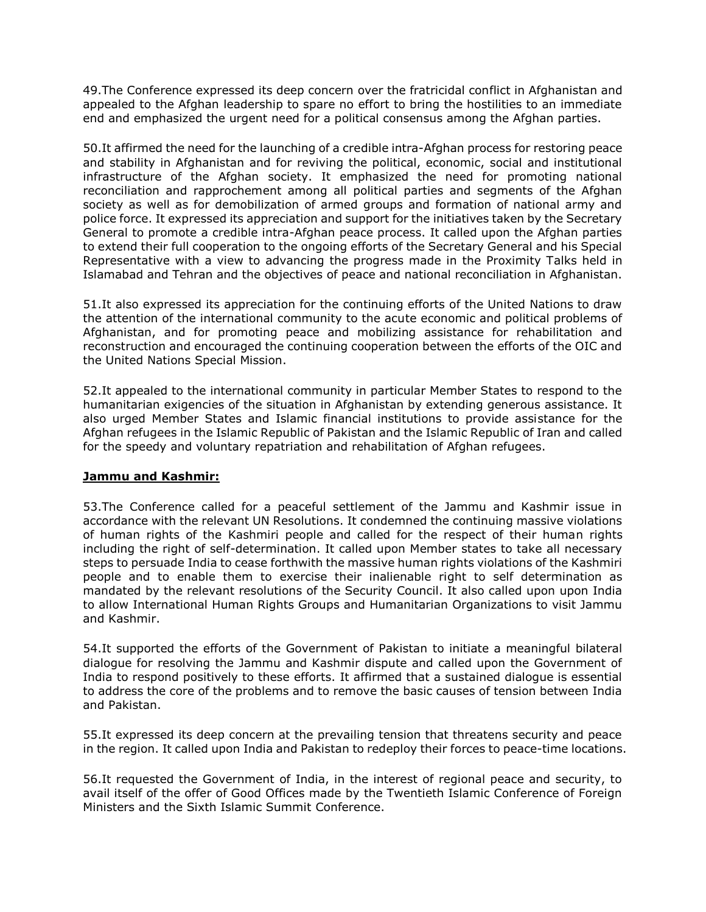49.The Conference expressed its deep concern over the fratricidal conflict in Afghanistan and appealed to the Afghan leadership to spare no effort to bring the hostilities to an immediate end and emphasized the urgent need for a political consensus among the Afghan parties.

50.It affirmed the need for the launching of a credible intra-Afghan process for restoring peace and stability in Afghanistan and for reviving the political, economic, social and institutional infrastructure of the Afghan society. It emphasized the need for promoting national reconciliation and rapprochement among all political parties and segments of the Afghan society as well as for demobilization of armed groups and formation of national army and police force. It expressed its appreciation and support for the initiatives taken by the Secretary General to promote a credible intra-Afghan peace process. It called upon the Afghan parties to extend their full cooperation to the ongoing efforts of the Secretary General and his Special Representative with a view to advancing the progress made in the Proximity Talks held in Islamabad and Tehran and the objectives of peace and national reconciliation in Afghanistan.

51.It also expressed its appreciation for the continuing efforts of the United Nations to draw the attention of the international community to the acute economic and political problems of Afghanistan, and for promoting peace and mobilizing assistance for rehabilitation and reconstruction and encouraged the continuing cooperation between the efforts of the OIC and the United Nations Special Mission.

52.It appealed to the international community in particular Member States to respond to the humanitarian exigencies of the situation in Afghanistan by extending generous assistance. It also urged Member States and Islamic financial institutions to provide assistance for the Afghan refugees in the Islamic Republic of Pakistan and the Islamic Republic of Iran and called for the speedy and voluntary repatriation and rehabilitation of Afghan refugees.

# **Jammu and Kashmir:**

53.The Conference called for a peaceful settlement of the Jammu and Kashmir issue in accordance with the relevant UN Resolutions. It condemned the continuing massive violations of human rights of the Kashmiri people and called for the respect of their human rights including the right of self-determination. It called upon Member states to take all necessary steps to persuade India to cease forthwith the massive human rights violations of the Kashmiri people and to enable them to exercise their inalienable right to self determination as mandated by the relevant resolutions of the Security Council. It also called upon upon India to allow International Human Rights Groups and Humanitarian Organizations to visit Jammu and Kashmir.

54.It supported the efforts of the Government of Pakistan to initiate a meaningful bilateral dialogue for resolving the Jammu and Kashmir dispute and called upon the Government of India to respond positively to these efforts. It affirmed that a sustained dialogue is essential to address the core of the problems and to remove the basic causes of tension between India and Pakistan.

55.It expressed its deep concern at the prevailing tension that threatens security and peace in the region. It called upon India and Pakistan to redeploy their forces to peace-time locations.

56.It requested the Government of India, in the interest of regional peace and security, to avail itself of the offer of Good Offices made by the Twentieth Islamic Conference of Foreign Ministers and the Sixth Islamic Summit Conference.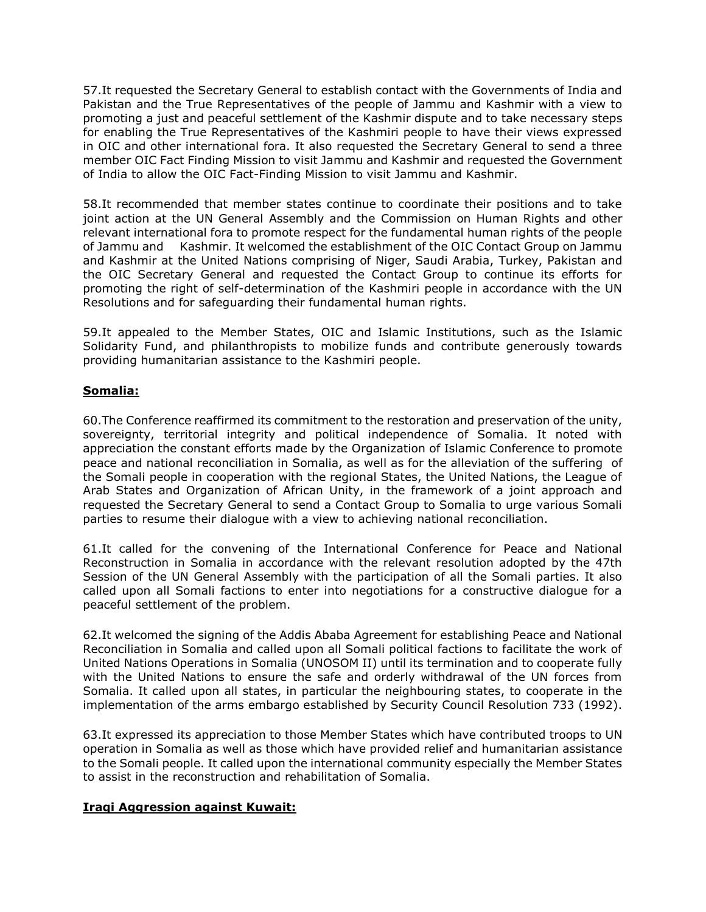57.It requested the Secretary General to establish contact with the Governments of India and Pakistan and the True Representatives of the people of Jammu and Kashmir with a view to promoting a just and peaceful settlement of the Kashmir dispute and to take necessary steps for enabling the True Representatives of the Kashmiri people to have their views expressed in OIC and other international fora. It also requested the Secretary General to send a three member OIC Fact Finding Mission to visit Jammu and Kashmir and requested the Government of India to allow the OIC Fact-Finding Mission to visit Jammu and Kashmir.

58.It recommended that member states continue to coordinate their positions and to take joint action at the UN General Assembly and the Commission on Human Rights and other relevant international fora to promote respect for the fundamental human rights of the people of Jammu and Kashmir. It welcomed the establishment of the OIC Contact Group on Jammu and Kashmir at the United Nations comprising of Niger, Saudi Arabia, Turkey, Pakistan and the OIC Secretary General and requested the Contact Group to continue its efforts for promoting the right of self-determination of the Kashmiri people in accordance with the UN Resolutions and for safeguarding their fundamental human rights.

59.It appealed to the Member States, OIC and Islamic Institutions, such as the Islamic Solidarity Fund, and philanthropists to mobilize funds and contribute generously towards providing humanitarian assistance to the Kashmiri people.

# **Somalia:**

60.The Conference reaffirmed its commitment to the restoration and preservation of the unity, sovereignty, territorial integrity and political independence of Somalia. It noted with appreciation the constant efforts made by the Organization of Islamic Conference to promote peace and national reconciliation in Somalia, as well as for the alleviation of the suffering of the Somali people in cooperation with the regional States, the United Nations, the League of Arab States and Organization of African Unity, in the framework of a joint approach and requested the Secretary General to send a Contact Group to Somalia to urge various Somali parties to resume their dialogue with a view to achieving national reconciliation.

61.It called for the convening of the International Conference for Peace and National Reconstruction in Somalia in accordance with the relevant resolution adopted by the 47th Session of the UN General Assembly with the participation of all the Somali parties. It also called upon all Somali factions to enter into negotiations for a constructive dialogue for a peaceful settlement of the problem.

62.It welcomed the signing of the Addis Ababa Agreement for establishing Peace and National Reconciliation in Somalia and called upon all Somali political factions to facilitate the work of United Nations Operations in Somalia (UNOSOM II) until its termination and to cooperate fully with the United Nations to ensure the safe and orderly withdrawal of the UN forces from Somalia. It called upon all states, in particular the neighbouring states, to cooperate in the implementation of the arms embargo established by Security Council Resolution 733 (1992).

63.It expressed its appreciation to those Member States which have contributed troops to UN operation in Somalia as well as those which have provided relief and humanitarian assistance to the Somali people. It called upon the international community especially the Member States to assist in the reconstruction and rehabilitation of Somalia.

# **Iraqi Aggression against Kuwait:**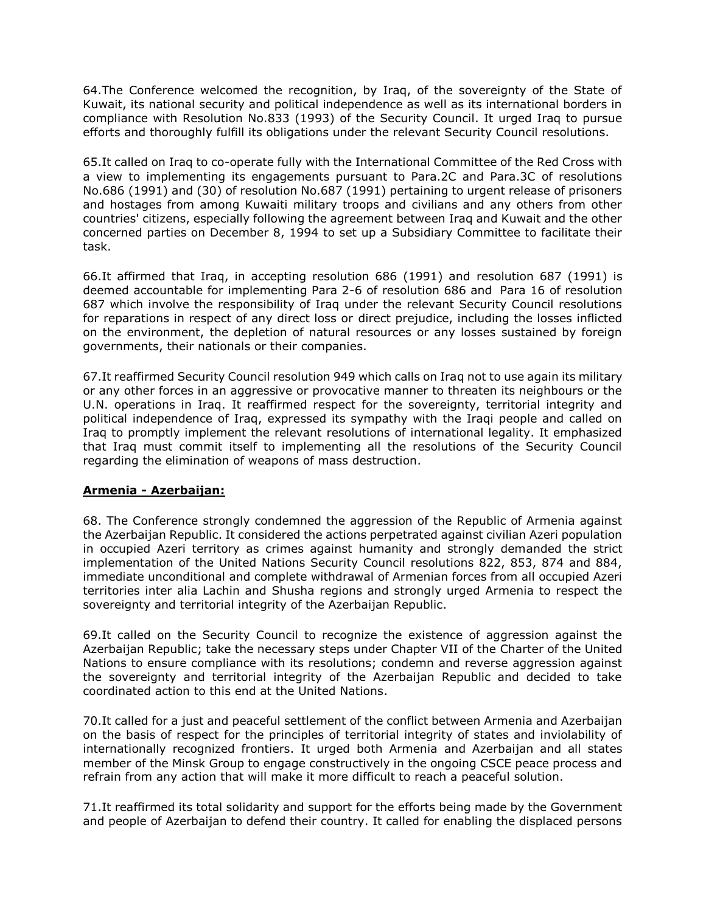64.The Conference welcomed the recognition, by Iraq, of the sovereignty of the State of Kuwait, its national security and political independence as well as its international borders in compliance with Resolution No.833 (1993) of the Security Council. It urged Iraq to pursue efforts and thoroughly fulfill its obligations under the relevant Security Council resolutions.

65.It called on Iraq to co-operate fully with the International Committee of the Red Cross with a view to implementing its engagements pursuant to Para.2C and Para.3C of resolutions No.686 (1991) and (30) of resolution No.687 (1991) pertaining to urgent release of prisoners and hostages from among Kuwaiti military troops and civilians and any others from other countries' citizens, especially following the agreement between Iraq and Kuwait and the other concerned parties on December 8, 1994 to set up a Subsidiary Committee to facilitate their task.

66.It affirmed that Iraq, in accepting resolution 686 (1991) and resolution 687 (1991) is deemed accountable for implementing Para 2-6 of resolution 686 and Para 16 of resolution 687 which involve the responsibility of Iraq under the relevant Security Council resolutions for reparations in respect of any direct loss or direct prejudice, including the losses inflicted on the environment, the depletion of natural resources or any losses sustained by foreign governments, their nationals or their companies.

67.It reaffirmed Security Council resolution 949 which calls on Iraq not to use again its military or any other forces in an aggressive or provocative manner to threaten its neighbours or the U.N. operations in Iraq. It reaffirmed respect for the sovereignty, territorial integrity and political independence of Iraq, expressed its sympathy with the Iraqi people and called on Iraq to promptly implement the relevant resolutions of international legality. It emphasized that Iraq must commit itself to implementing all the resolutions of the Security Council regarding the elimination of weapons of mass destruction.

# **Armenia - Azerbaijan:**

68. The Conference strongly condemned the aggression of the Republic of Armenia against the Azerbaijan Republic. It considered the actions perpetrated against civilian Azeri population in occupied Azeri territory as crimes against humanity and strongly demanded the strict implementation of the United Nations Security Council resolutions 822, 853, 874 and 884, immediate unconditional and complete withdrawal of Armenian forces from all occupied Azeri territories inter alia Lachin and Shusha regions and strongly urged Armenia to respect the sovereignty and territorial integrity of the Azerbaijan Republic.

69.It called on the Security Council to recognize the existence of aggression against the Azerbaijan Republic; take the necessary steps under Chapter VII of the Charter of the United Nations to ensure compliance with its resolutions; condemn and reverse aggression against the sovereignty and territorial integrity of the Azerbaijan Republic and decided to take coordinated action to this end at the United Nations.

70.It called for a just and peaceful settlement of the conflict between Armenia and Azerbaijan on the basis of respect for the principles of territorial integrity of states and inviolability of internationally recognized frontiers. It urged both Armenia and Azerbaijan and all states member of the Minsk Group to engage constructively in the ongoing CSCE peace process and refrain from any action that will make it more difficult to reach a peaceful solution.

71.It reaffirmed its total solidarity and support for the efforts being made by the Government and people of Azerbaijan to defend their country. It called for enabling the displaced persons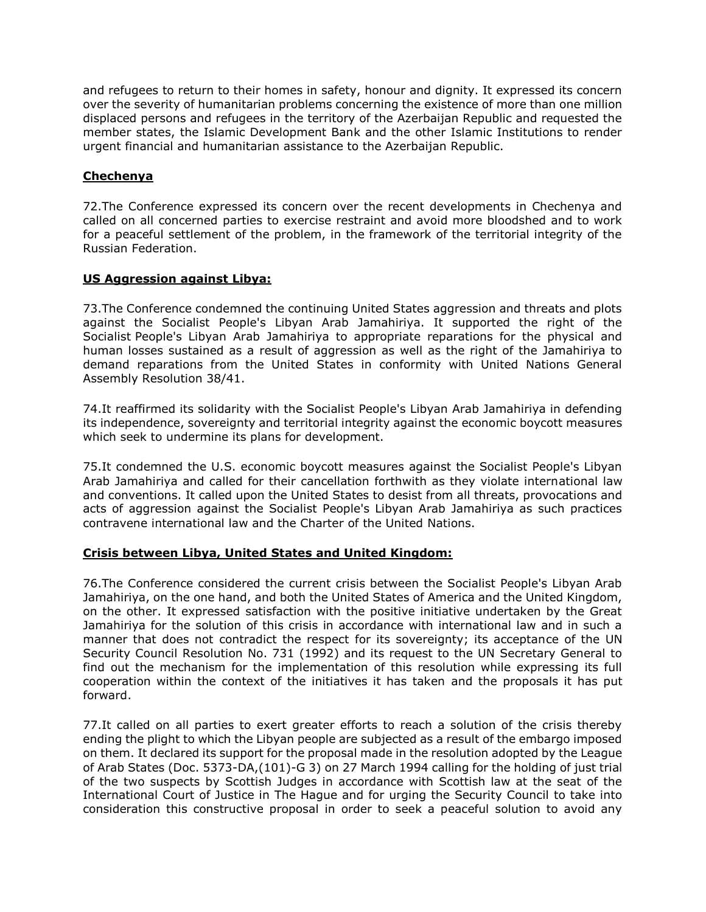and refugees to return to their homes in safety, honour and dignity. It expressed its concern over the severity of humanitarian problems concerning the existence of more than one million displaced persons and refugees in the territory of the Azerbaijan Republic and requested the member states, the Islamic Development Bank and the other Islamic Institutions to render urgent financial and humanitarian assistance to the Azerbaijan Republic.

# **Chechenya**

72.The Conference expressed its concern over the recent developments in Chechenya and called on all concerned parties to exercise restraint and avoid more bloodshed and to work for a peaceful settlement of the problem, in the framework of the territorial integrity of the Russian Federation.

# **US Aggression against Libya:**

73.The Conference condemned the continuing United States aggression and threats and plots against the Socialist People's Libyan Arab Jamahiriya. It supported the right of the Socialist People's Libyan Arab Jamahiriya to appropriate reparations for the physical and human losses sustained as a result of aggression as well as the right of the Jamahiriya to demand reparations from the United States in conformity with United Nations General Assembly Resolution 38/41.

74.It reaffirmed its solidarity with the Socialist People's Libyan Arab Jamahiriya in defending its independence, sovereignty and territorial integrity against the economic boycott measures which seek to undermine its plans for development.

75.It condemned the U.S. economic boycott measures against the Socialist People's Libyan Arab Jamahiriya and called for their cancellation forthwith as they violate international law and conventions. It called upon the United States to desist from all threats, provocations and acts of aggression against the Socialist People's Libyan Arab Jamahiriya as such practices contravene international law and the Charter of the United Nations.

# **Crisis between Libya, United States and United Kingdom:**

76.The Conference considered the current crisis between the Socialist People's Libyan Arab Jamahiriya, on the one hand, and both the United States of America and the United Kingdom, on the other. It expressed satisfaction with the positive initiative undertaken by the Great Jamahiriya for the solution of this crisis in accordance with international law and in such a manner that does not contradict the respect for its sovereignty; its acceptance of the UN Security Council Resolution No. 731 (1992) and its request to the UN Secretary General to find out the mechanism for the implementation of this resolution while expressing its full cooperation within the context of the initiatives it has taken and the proposals it has put forward.

77.It called on all parties to exert greater efforts to reach a solution of the crisis thereby ending the plight to which the Libyan people are subjected as a result of the embargo imposed on them. It declared its support for the proposal made in the resolution adopted by the League of Arab States (Doc. 5373-DA,(101)-G 3) on 27 March 1994 calling for the holding of just trial of the two suspects by Scottish Judges in accordance with Scottish law at the seat of the International Court of Justice in The Hague and for urging the Security Council to take into consideration this constructive proposal in order to seek a peaceful solution to avoid any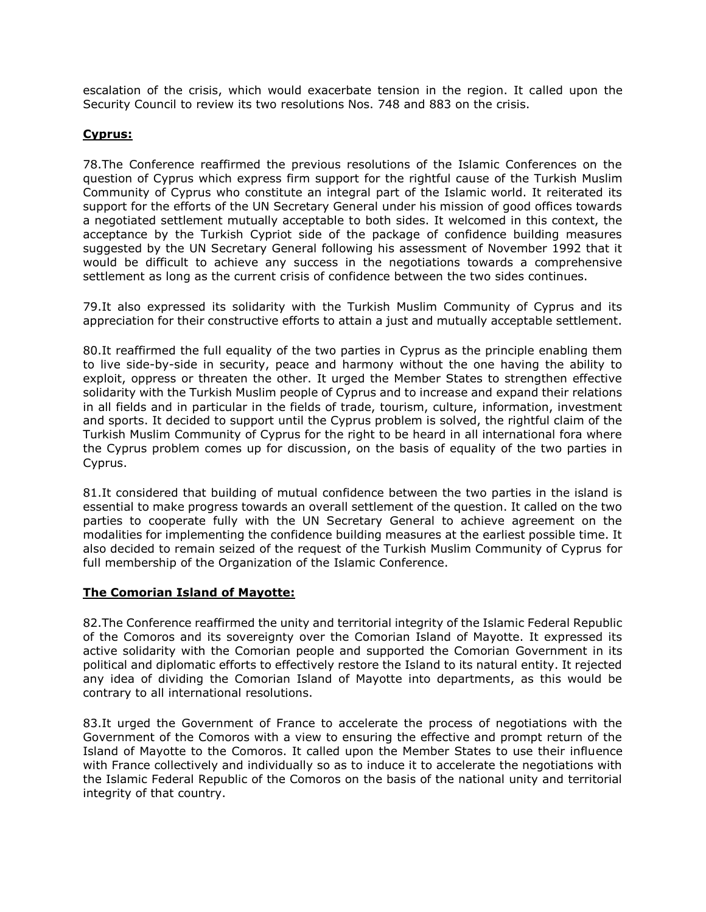escalation of the crisis, which would exacerbate tension in the region. It called upon the Security Council to review its two resolutions Nos. 748 and 883 on the crisis.

# **Cyprus:**

78.The Conference reaffirmed the previous resolutions of the Islamic Conferences on the question of Cyprus which express firm support for the rightful cause of the Turkish Muslim Community of Cyprus who constitute an integral part of the Islamic world. It reiterated its support for the efforts of the UN Secretary General under his mission of good offices towards a negotiated settlement mutually acceptable to both sides. It welcomed in this context, the acceptance by the Turkish Cypriot side of the package of confidence building measures suggested by the UN Secretary General following his assessment of November 1992 that it would be difficult to achieve any success in the negotiations towards a comprehensive settlement as long as the current crisis of confidence between the two sides continues.

79.It also expressed its solidarity with the Turkish Muslim Community of Cyprus and its appreciation for their constructive efforts to attain a just and mutually acceptable settlement.

80.It reaffirmed the full equality of the two parties in Cyprus as the principle enabling them to live side-by-side in security, peace and harmony without the one having the ability to exploit, oppress or threaten the other. It urged the Member States to strengthen effective solidarity with the Turkish Muslim people of Cyprus and to increase and expand their relations in all fields and in particular in the fields of trade, tourism, culture, information, investment and sports. It decided to support until the Cyprus problem is solved, the rightful claim of the Turkish Muslim Community of Cyprus for the right to be heard in all international fora where the Cyprus problem comes up for discussion, on the basis of equality of the two parties in Cyprus.

81.It considered that building of mutual confidence between the two parties in the island is essential to make progress towards an overall settlement of the question. It called on the two parties to cooperate fully with the UN Secretary General to achieve agreement on the modalities for implementing the confidence building measures at the earliest possible time. It also decided to remain seized of the request of the Turkish Muslim Community of Cyprus for full membership of the Organization of the Islamic Conference.

# **The Comorian Island of Mayotte:**

82.The Conference reaffirmed the unity and territorial integrity of the Islamic Federal Republic of the Comoros and its sovereignty over the Comorian Island of Mayotte. It expressed its active solidarity with the Comorian people and supported the Comorian Government in its political and diplomatic efforts to effectively restore the Island to its natural entity. It rejected any idea of dividing the Comorian Island of Mayotte into departments, as this would be contrary to all international resolutions.

83.It urged the Government of France to accelerate the process of negotiations with the Government of the Comoros with a view to ensuring the effective and prompt return of the Island of Mayotte to the Comoros. It called upon the Member States to use their influence with France collectively and individually so as to induce it to accelerate the negotiations with the Islamic Federal Republic of the Comoros on the basis of the national unity and territorial integrity of that country.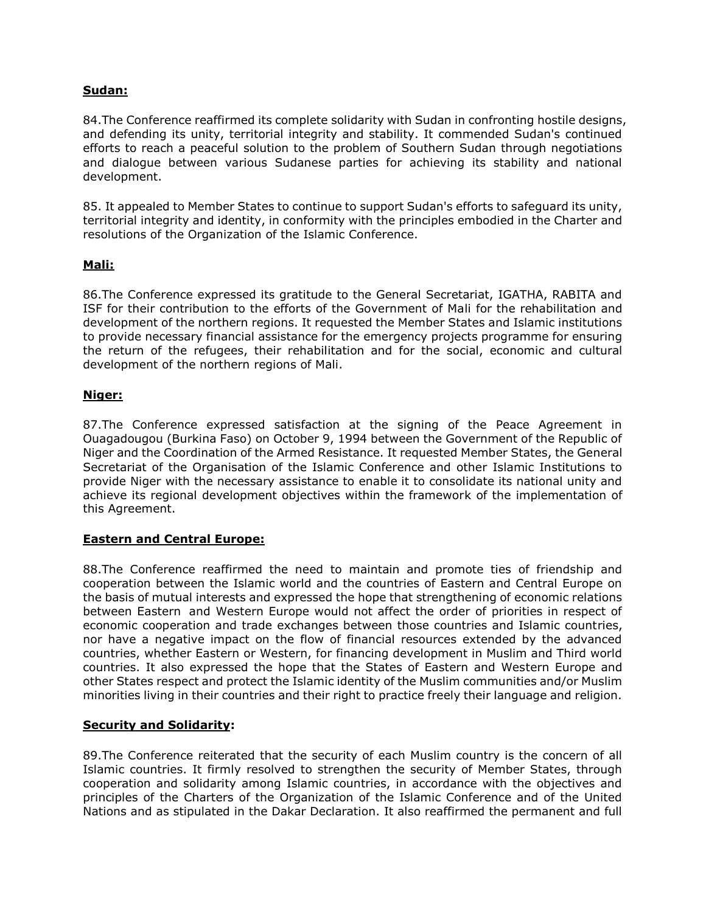# **Sudan:**

84.The Conference reaffirmed its complete solidarity with Sudan in confronting hostile designs, and defending its unity, territorial integrity and stability. It commended Sudan's continued efforts to reach a peaceful solution to the problem of Southern Sudan through negotiations and dialogue between various Sudanese parties for achieving its stability and national development.

85. It appealed to Member States to continue to support Sudan's efforts to safeguard its unity, territorial integrity and identity, in conformity with the principles embodied in the Charter and resolutions of the Organization of the Islamic Conference.

# **Mali:**

86.The Conference expressed its gratitude to the General Secretariat, IGATHA, RABITA and ISF for their contribution to the efforts of the Government of Mali for the rehabilitation and development of the northern regions. It requested the Member States and Islamic institutions to provide necessary financial assistance for the emergency projects programme for ensuring the return of the refugees, their rehabilitation and for the social, economic and cultural development of the northern regions of Mali.

# **Niger:**

87.The Conference expressed satisfaction at the signing of the Peace Agreement in Ouagadougou (Burkina Faso) on October 9, 1994 between the Government of the Republic of Niger and the Coordination of the Armed Resistance. It requested Member States, the General Secretariat of the Organisation of the Islamic Conference and other Islamic Institutions to provide Niger with the necessary assistance to enable it to consolidate its national unity and achieve its regional development objectives within the framework of the implementation of this Agreement.

# **Eastern and Central Europe:**

88.The Conference reaffirmed the need to maintain and promote ties of friendship and cooperation between the Islamic world and the countries of Eastern and Central Europe on the basis of mutual interests and expressed the hope that strengthening of economic relations between Eastern and Western Europe would not affect the order of priorities in respect of economic cooperation and trade exchanges between those countries and Islamic countries, nor have a negative impact on the flow of financial resources extended by the advanced countries, whether Eastern or Western, for financing development in Muslim and Third world countries. It also expressed the hope that the States of Eastern and Western Europe and other States respect and protect the Islamic identity of the Muslim communities and/or Muslim minorities living in their countries and their right to practice freely their language and religion.

# **Security and Solidarity:**

89.The Conference reiterated that the security of each Muslim country is the concern of all Islamic countries. It firmly resolved to strengthen the security of Member States, through cooperation and solidarity among Islamic countries, in accordance with the objectives and principles of the Charters of the Organization of the Islamic Conference and of the United Nations and as stipulated in the Dakar Declaration. It also reaffirmed the permanent and full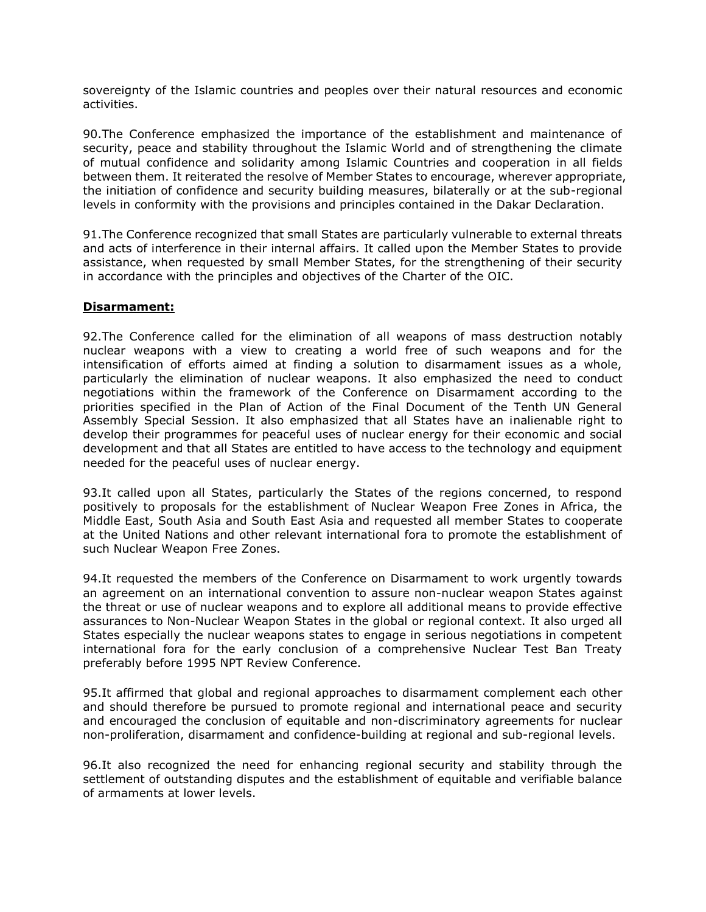sovereignty of the Islamic countries and peoples over their natural resources and economic activities.

90.The Conference emphasized the importance of the establishment and maintenance of security, peace and stability throughout the Islamic World and of strengthening the climate of mutual confidence and solidarity among Islamic Countries and cooperation in all fields between them. It reiterated the resolve of Member States to encourage, wherever appropriate, the initiation of confidence and security building measures, bilaterally or at the sub-regional levels in conformity with the provisions and principles contained in the Dakar Declaration.

91.The Conference recognized that small States are particularly vulnerable to external threats and acts of interference in their internal affairs. It called upon the Member States to provide assistance, when requested by small Member States, for the strengthening of their security in accordance with the principles and objectives of the Charter of the OIC.

# **Disarmament:**

92.The Conference called for the elimination of all weapons of mass destruction notably nuclear weapons with a view to creating a world free of such weapons and for the intensification of efforts aimed at finding a solution to disarmament issues as a whole, particularly the elimination of nuclear weapons. It also emphasized the need to conduct negotiations within the framework of the Conference on Disarmament according to the priorities specified in the Plan of Action of the Final Document of the Tenth UN General Assembly Special Session. It also emphasized that all States have an inalienable right to develop their programmes for peaceful uses of nuclear energy for their economic and social development and that all States are entitled to have access to the technology and equipment needed for the peaceful uses of nuclear energy.

93.It called upon all States, particularly the States of the regions concerned, to respond positively to proposals for the establishment of Nuclear Weapon Free Zones in Africa, the Middle East, South Asia and South East Asia and requested all member States to cooperate at the United Nations and other relevant international fora to promote the establishment of such Nuclear Weapon Free Zones.

94.It requested the members of the Conference on Disarmament to work urgently towards an agreement on an international convention to assure non-nuclear weapon States against the threat or use of nuclear weapons and to explore all additional means to provide effective assurances to Non-Nuclear Weapon States in the global or regional context. It also urged all States especially the nuclear weapons states to engage in serious negotiations in competent international fora for the early conclusion of a comprehensive Nuclear Test Ban Treaty preferably before 1995 NPT Review Conference.

95.It affirmed that global and regional approaches to disarmament complement each other and should therefore be pursued to promote regional and international peace and security and encouraged the conclusion of equitable and non-discriminatory agreements for nuclear non-proliferation, disarmament and confidence-building at regional and sub-regional levels.

96.It also recognized the need for enhancing regional security and stability through the settlement of outstanding disputes and the establishment of equitable and verifiable balance of armaments at lower levels.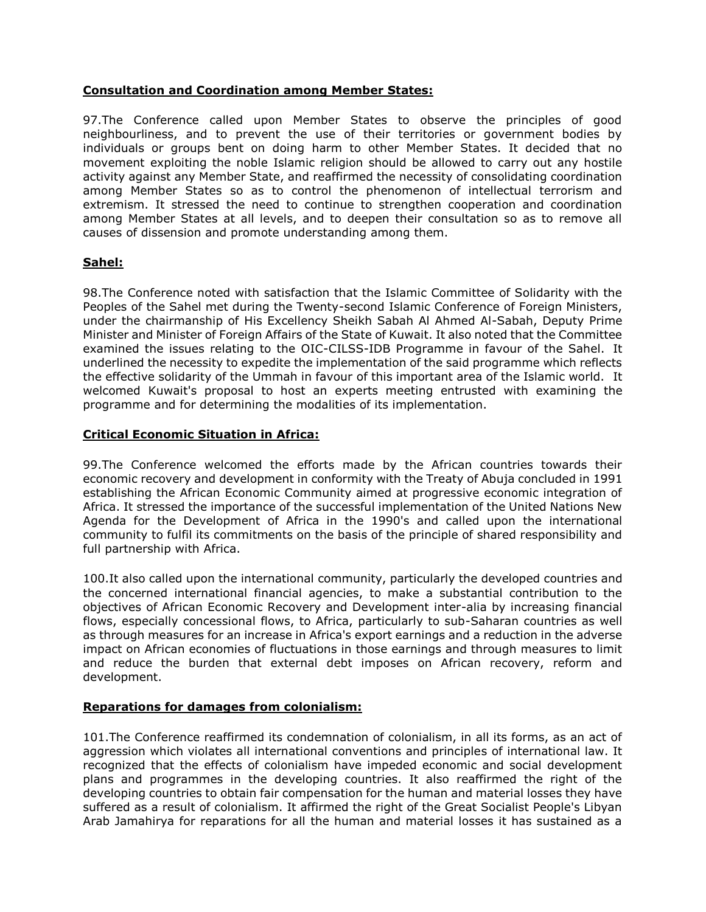# **Consultation and Coordination among Member States:**

97.The Conference called upon Member States to observe the principles of good neighbourliness, and to prevent the use of their territories or government bodies by individuals or groups bent on doing harm to other Member States. It decided that no movement exploiting the noble Islamic religion should be allowed to carry out any hostile activity against any Member State, and reaffirmed the necessity of consolidating coordination among Member States so as to control the phenomenon of intellectual terrorism and extremism. It stressed the need to continue to strengthen cooperation and coordination among Member States at all levels, and to deepen their consultation so as to remove all causes of dissension and promote understanding among them.

# **Sahel:**

98.The Conference noted with satisfaction that the Islamic Committee of Solidarity with the Peoples of the Sahel met during the Twenty-second Islamic Conference of Foreign Ministers, under the chairmanship of His Excellency Sheikh Sabah Al Ahmed Al-Sabah, Deputy Prime Minister and Minister of Foreign Affairs of the State of Kuwait. It also noted that the Committee examined the issues relating to the OIC-CILSS-IDB Programme in favour of the Sahel. It underlined the necessity to expedite the implementation of the said programme which reflects the effective solidarity of the Ummah in favour of this important area of the Islamic world. It welcomed Kuwait's proposal to host an experts meeting entrusted with examining the programme and for determining the modalities of its implementation.

# **Critical Economic Situation in Africa:**

99.The Conference welcomed the efforts made by the African countries towards their economic recovery and development in conformity with the Treaty of Abuja concluded in 1991 establishing the African Economic Community aimed at progressive economic integration of Africa. It stressed the importance of the successful implementation of the United Nations New Agenda for the Development of Africa in the 1990's and called upon the international community to fulfil its commitments on the basis of the principle of shared responsibility and full partnership with Africa.

100.It also called upon the international community, particularly the developed countries and the concerned international financial agencies, to make a substantial contribution to the objectives of African Economic Recovery and Development inter-alia by increasing financial flows, especially concessional flows, to Africa, particularly to sub-Saharan countries as well as through measures for an increase in Africa's export earnings and a reduction in the adverse impact on African economies of fluctuations in those earnings and through measures to limit and reduce the burden that external debt imposes on African recovery, reform and development.

# **Reparations for damages from colonialism:**

101.The Conference reaffirmed its condemnation of colonialism, in all its forms, as an act of aggression which violates all international conventions and principles of international law. It recognized that the effects of colonialism have impeded economic and social development plans and programmes in the developing countries. It also reaffirmed the right of the developing countries to obtain fair compensation for the human and material losses they have suffered as a result of colonialism. It affirmed the right of the Great Socialist People's Libyan Arab Jamahirya for reparations for all the human and material losses it has sustained as a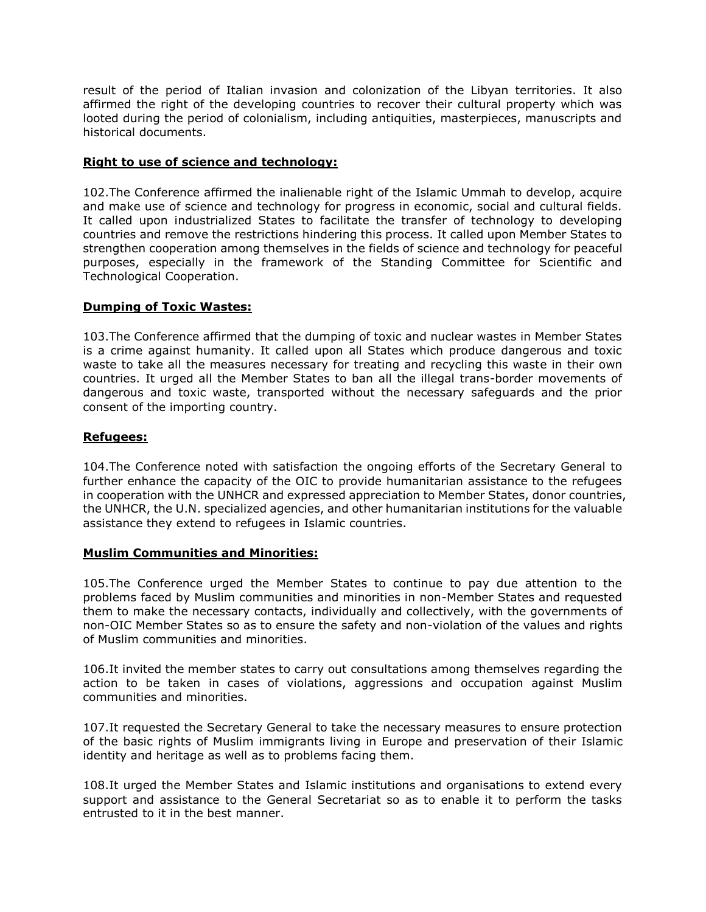result of the period of Italian invasion and colonization of the Libyan territories. It also affirmed the right of the developing countries to recover their cultural property which was looted during the period of colonialism, including antiquities, masterpieces, manuscripts and historical documents.

# **Right to use of science and technology:**

102.The Conference affirmed the inalienable right of the Islamic Ummah to develop, acquire and make use of science and technology for progress in economic, social and cultural fields. It called upon industrialized States to facilitate the transfer of technology to developing countries and remove the restrictions hindering this process. It called upon Member States to strengthen cooperation among themselves in the fields of science and technology for peaceful purposes, especially in the framework of the Standing Committee for Scientific and Technological Cooperation.

# **Dumping of Toxic Wastes:**

103.The Conference affirmed that the dumping of toxic and nuclear wastes in Member States is a crime against humanity. It called upon all States which produce dangerous and toxic waste to take all the measures necessary for treating and recycling this waste in their own countries. It urged all the Member States to ban all the illegal trans-border movements of dangerous and toxic waste, transported without the necessary safeguards and the prior consent of the importing country.

# **Refugees:**

104.The Conference noted with satisfaction the ongoing efforts of the Secretary General to further enhance the capacity of the OIC to provide humanitarian assistance to the refugees in cooperation with the UNHCR and expressed appreciation to Member States, donor countries, the UNHCR, the U.N. specialized agencies, and other humanitarian institutions for the valuable assistance they extend to refugees in Islamic countries.

# **Muslim Communities and Minorities:**

105.The Conference urged the Member States to continue to pay due attention to the problems faced by Muslim communities and minorities in non-Member States and requested them to make the necessary contacts, individually and collectively, with the governments of non-OIC Member States so as to ensure the safety and non-violation of the values and rights of Muslim communities and minorities.

106.It invited the member states to carry out consultations among themselves regarding the action to be taken in cases of violations, aggressions and occupation against Muslim communities and minorities.

107.It requested the Secretary General to take the necessary measures to ensure protection of the basic rights of Muslim immigrants living in Europe and preservation of their Islamic identity and heritage as well as to problems facing them.

108.It urged the Member States and Islamic institutions and organisations to extend every support and assistance to the General Secretariat so as to enable it to perform the tasks entrusted to it in the best manner.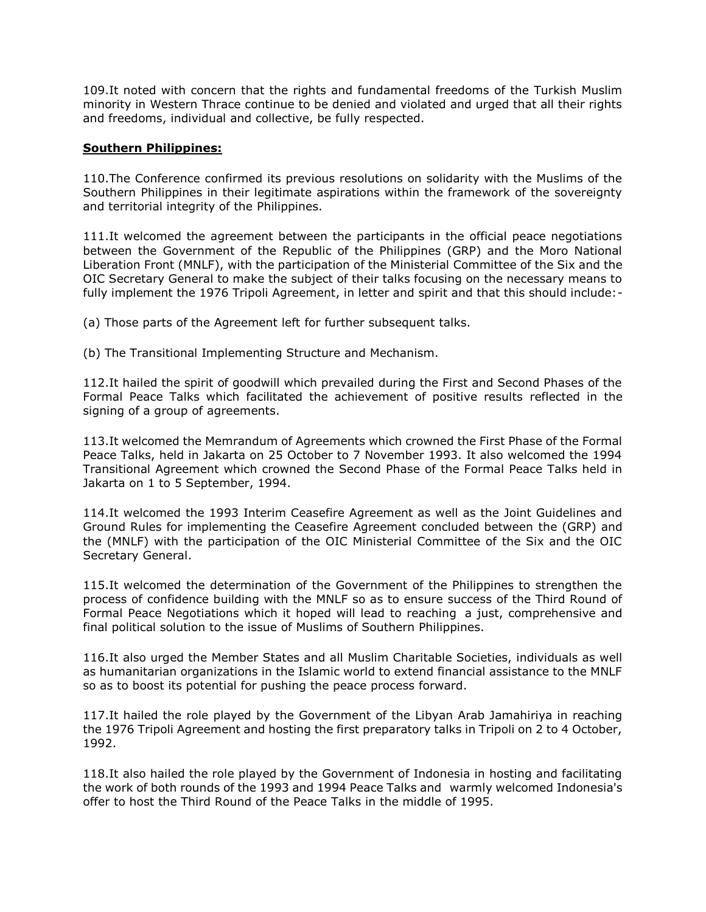109.It noted with concern that the rights and fundamental freedoms of the Turkish Muslim minority in Western Thrace continue to be denied and violated and urged that all their rights and freedoms, individual and collective, be fully respected.

# **Southern Philippines:**

110.The Conference confirmed its previous resolutions on solidarity with the Muslims of the Southern Philippines in their legitimate aspirations within the framework of the sovereignty and territorial integrity of the Philippines.

111.It welcomed the agreement between the participants in the official peace negotiations between the Government of the Republic of the Philippines (GRP) and the Moro National Liberation Front (MNLF), with the participation of the Ministerial Committee of the Six and the OIC Secretary General to make the subject of their talks focusing on the necessary means to fully implement the 1976 Tripoli Agreement, in letter and spirit and that this should include:-

(a) Those parts of the Agreement left for further subsequent talks.

(b) The Transitional Implementing Structure and Mechanism.

112.It hailed the spirit of goodwill which prevailed during the First and Second Phases of the Formal Peace Talks which facilitated the achievement of positive results reflected in the signing of a group of agreements.

113.It welcomed the Memrandum of Agreements which crowned the First Phase of the Formal Peace Talks, held in Jakarta on 25 October to 7 November 1993. It also welcomed the 1994 Transitional Agreement which crowned the Second Phase of the Formal Peace Talks held in Jakarta on 1 to 5 September, 1994.

114.It welcomed the 1993 Interim Ceasefire Agreement as well as the Joint Guidelines and Ground Rules for implementing the Ceasefire Agreement concluded between the (GRP) and the (MNLF) with the participation of the OIC Ministerial Committee of the Six and the OIC Secretary General.

115.It welcomed the determination of the Government of the Philippines to strengthen the process of confidence building with the MNLF so as to ensure success of the Third Round of Formal Peace Negotiations which it hoped will lead to reaching a just, comprehensive and final political solution to the issue of Muslims of Southern Philippines.

116.It also urged the Member States and all Muslim Charitable Societies, individuals as well as humanitarian organizations in the Islamic world to extend financial assistance to the MNLF so as to boost its potential for pushing the peace process forward.

117.It hailed the role played by the Government of the Libyan Arab Jamahiriya in reaching the 1976 Tripoli Agreement and hosting the first preparatory talks in Tripoli on 2 to 4 October, 1992.

118.It also hailed the role played by the Government of Indonesia in hosting and facilitating the work of both rounds of the 1993 and 1994 Peace Talks and warmly welcomed Indonesia's offer to host the Third Round of the Peace Talks in the middle of 1995.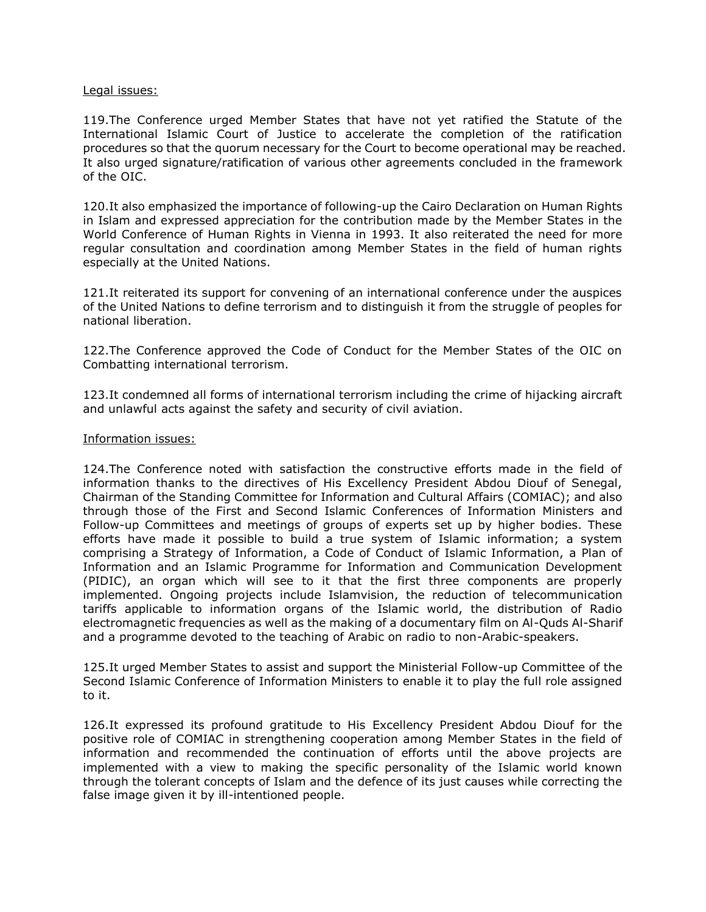#### Legal issues:

119.The Conference urged Member States that have not yet ratified the Statute of the International Islamic Court of Justice to accelerate the completion of the ratification procedures so that the quorum necessary for the Court to become operational may be reached. It also urged signature/ratification of various other agreements concluded in the framework of the OIC.

120.It also emphasized the importance of following-up the Cairo Declaration on Human Rights in Islam and expressed appreciation for the contribution made by the Member States in the World Conference of Human Rights in Vienna in 1993. It also reiterated the need for more regular consultation and coordination among Member States in the field of human rights especially at the United Nations.

121.It reiterated its support for convening of an international conference under the auspices of the United Nations to define terrorism and to distinguish it from the struggle of peoples for national liberation.

122.The Conference approved the Code of Conduct for the Member States of the OIC on Combatting international terrorism.

123.It condemned all forms of international terrorism including the crime of hijacking aircraft and unlawful acts against the safety and security of civil aviation.

#### Information issues:

124.The Conference noted with satisfaction the constructive efforts made in the field of information thanks to the directives of His Excellency President Abdou Diouf of Senegal, Chairman of the Standing Committee for Information and Cultural Affairs (COMIAC); and also through those of the First and Second Islamic Conferences of Information Ministers and Follow-up Committees and meetings of groups of experts set up by higher bodies. These efforts have made it possible to build a true system of Islamic information; a system comprising a Strategy of Information, a Code of Conduct of Islamic Information, a Plan of Information and an Islamic Programme for Information and Communication Development (PIDIC), an organ which will see to it that the first three components are properly implemented. Ongoing projects include Islamvision, the reduction of telecommunication tariffs applicable to information organs of the Islamic world, the distribution of Radio electromagnetic frequencies as well as the making of a documentary film on Al-Quds Al-Sharif and a programme devoted to the teaching of Arabic on radio to non-Arabic-speakers.

125.It urged Member States to assist and support the Ministerial Follow-up Committee of the Second Islamic Conference of Information Ministers to enable it to play the full role assigned to it.

126.It expressed its profound gratitude to His Excellency President Abdou Diouf for the positive role of COMIAC in strengthening cooperation among Member States in the field of information and recommended the continuation of efforts until the above projects are implemented with a view to making the specific personality of the Islamic world known through the tolerant concepts of Islam and the defence of its just causes while correcting the false image given it by ill-intentioned people.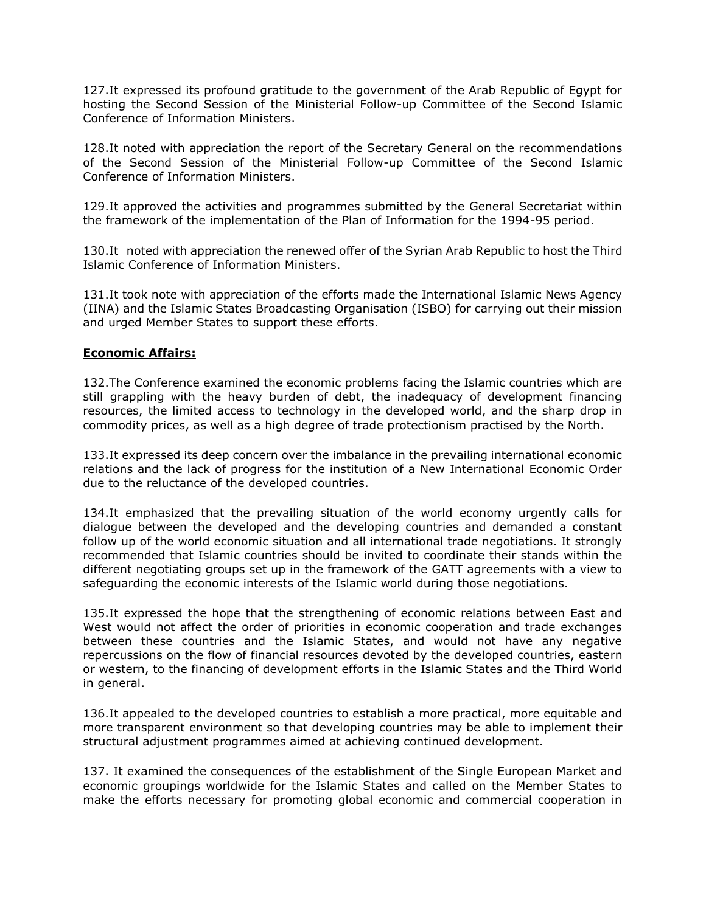127.It expressed its profound gratitude to the government of the Arab Republic of Egypt for hosting the Second Session of the Ministerial Follow-up Committee of the Second Islamic Conference of Information Ministers.

128.It noted with appreciation the report of the Secretary General on the recommendations of the Second Session of the Ministerial Follow-up Committee of the Second Islamic Conference of Information Ministers.

129.It approved the activities and programmes submitted by the General Secretariat within the framework of the implementation of the Plan of Information for the 1994-95 period.

130.It noted with appreciation the renewed offer of the Syrian Arab Republic to host the Third Islamic Conference of Information Ministers.

131.It took note with appreciation of the efforts made the International Islamic News Agency (IINA) and the Islamic States Broadcasting Organisation (ISBO) for carrying out their mission and urged Member States to support these efforts.

# **Economic Affairs:**

132.The Conference examined the economic problems facing the Islamic countries which are still grappling with the heavy burden of debt, the inadequacy of development financing resources, the limited access to technology in the developed world, and the sharp drop in commodity prices, as well as a high degree of trade protectionism practised by the North.

133.It expressed its deep concern over the imbalance in the prevailing international economic relations and the lack of progress for the institution of a New International Economic Order due to the reluctance of the developed countries.

134.It emphasized that the prevailing situation of the world economy urgently calls for dialogue between the developed and the developing countries and demanded a constant follow up of the world economic situation and all international trade negotiations. It strongly recommended that Islamic countries should be invited to coordinate their stands within the different negotiating groups set up in the framework of the GATT agreements with a view to safeguarding the economic interests of the Islamic world during those negotiations.

135.It expressed the hope that the strengthening of economic relations between East and West would not affect the order of priorities in economic cooperation and trade exchanges between these countries and the Islamic States, and would not have any negative repercussions on the flow of financial resources devoted by the developed countries, eastern or western, to the financing of development efforts in the Islamic States and the Third World in general.

136.It appealed to the developed countries to establish a more practical, more equitable and more transparent environment so that developing countries may be able to implement their structural adjustment programmes aimed at achieving continued development.

137. It examined the consequences of the establishment of the Single European Market and economic groupings worldwide for the Islamic States and called on the Member States to make the efforts necessary for promoting global economic and commercial cooperation in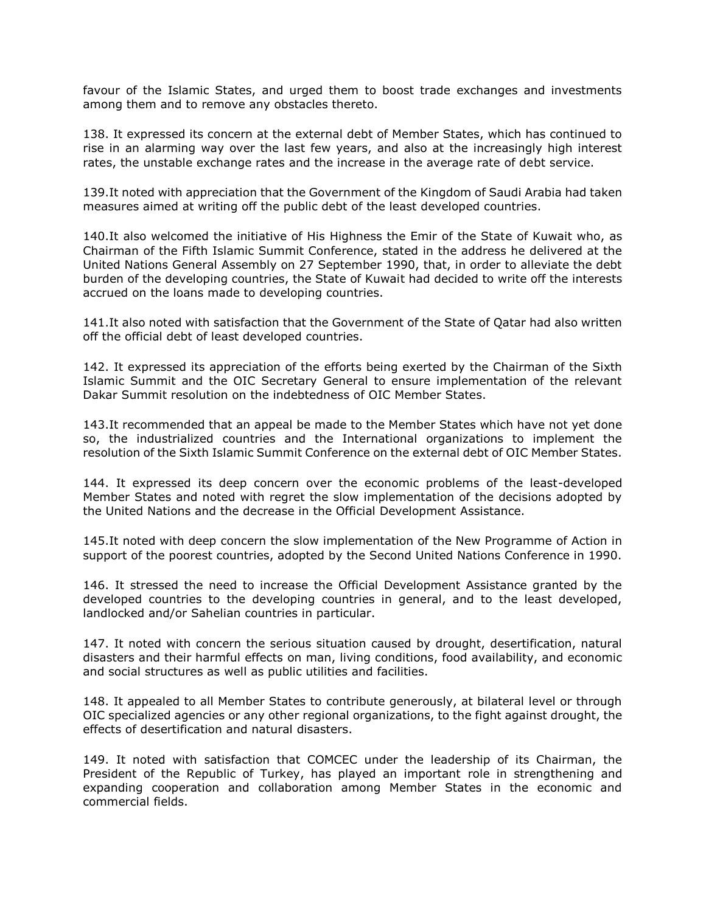favour of the Islamic States, and urged them to boost trade exchanges and investments among them and to remove any obstacles thereto.

138. It expressed its concern at the external debt of Member States, which has continued to rise in an alarming way over the last few years, and also at the increasingly high interest rates, the unstable exchange rates and the increase in the average rate of debt service.

139.It noted with appreciation that the Government of the Kingdom of Saudi Arabia had taken measures aimed at writing off the public debt of the least developed countries.

140.It also welcomed the initiative of His Highness the Emir of the State of Kuwait who, as Chairman of the Fifth Islamic Summit Conference, stated in the address he delivered at the United Nations General Assembly on 27 September 1990, that, in order to alleviate the debt burden of the developing countries, the State of Kuwait had decided to write off the interests accrued on the loans made to developing countries.

141.It also noted with satisfaction that the Government of the State of Qatar had also written off the official debt of least developed countries.

142. It expressed its appreciation of the efforts being exerted by the Chairman of the Sixth Islamic Summit and the OIC Secretary General to ensure implementation of the relevant Dakar Summit resolution on the indebtedness of OIC Member States.

143.It recommended that an appeal be made to the Member States which have not yet done so, the industrialized countries and the International organizations to implement the resolution of the Sixth Islamic Summit Conference on the external debt of OIC Member States.

144. It expressed its deep concern over the economic problems of the least-developed Member States and noted with regret the slow implementation of the decisions adopted by the United Nations and the decrease in the Official Development Assistance.

145.It noted with deep concern the slow implementation of the New Programme of Action in support of the poorest countries, adopted by the Second United Nations Conference in 1990.

146. It stressed the need to increase the Official Development Assistance granted by the developed countries to the developing countries in general, and to the least developed, landlocked and/or Sahelian countries in particular.

147. It noted with concern the serious situation caused by drought, desertification, natural disasters and their harmful effects on man, living conditions, food availability, and economic and social structures as well as public utilities and facilities.

148. It appealed to all Member States to contribute generously, at bilateral level or through OIC specialized agencies or any other regional organizations, to the fight against drought, the effects of desertification and natural disasters.

149. It noted with satisfaction that COMCEC under the leadership of its Chairman, the President of the Republic of Turkey, has played an important role in strengthening and expanding cooperation and collaboration among Member States in the economic and commercial fields.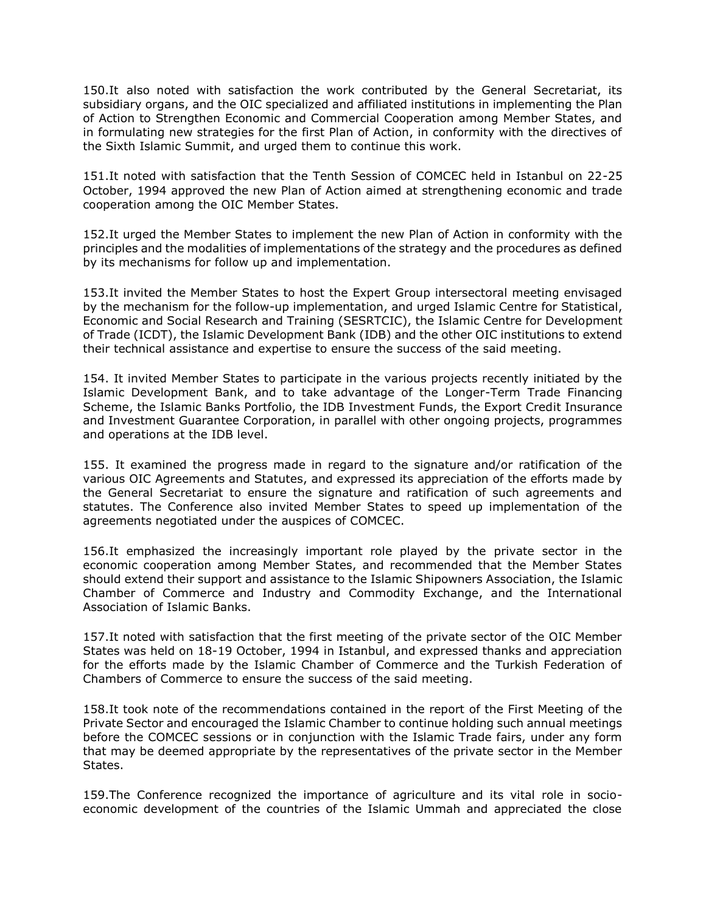150.It also noted with satisfaction the work contributed by the General Secretariat, its subsidiary organs, and the OIC specialized and affiliated institutions in implementing the Plan of Action to Strengthen Economic and Commercial Cooperation among Member States, and in formulating new strategies for the first Plan of Action, in conformity with the directives of the Sixth Islamic Summit, and urged them to continue this work.

151.It noted with satisfaction that the Tenth Session of COMCEC held in Istanbul on 22-25 October, 1994 approved the new Plan of Action aimed at strengthening economic and trade cooperation among the OIC Member States.

152.It urged the Member States to implement the new Plan of Action in conformity with the principles and the modalities of implementations of the strategy and the procedures as defined by its mechanisms for follow up and implementation.

153.It invited the Member States to host the Expert Group intersectoral meeting envisaged by the mechanism for the follow-up implementation, and urged Islamic Centre for Statistical, Economic and Social Research and Training (SESRTCIC), the Islamic Centre for Development of Trade (ICDT), the Islamic Development Bank (IDB) and the other OIC institutions to extend their technical assistance and expertise to ensure the success of the said meeting.

154. It invited Member States to participate in the various projects recently initiated by the Islamic Development Bank, and to take advantage of the Longer-Term Trade Financing Scheme, the Islamic Banks Portfolio, the IDB Investment Funds, the Export Credit Insurance and Investment Guarantee Corporation, in parallel with other ongoing projects, programmes and operations at the IDB level.

155. It examined the progress made in regard to the signature and/or ratification of the various OIC Agreements and Statutes, and expressed its appreciation of the efforts made by the General Secretariat to ensure the signature and ratification of such agreements and statutes. The Conference also invited Member States to speed up implementation of the agreements negotiated under the auspices of COMCEC.

156.It emphasized the increasingly important role played by the private sector in the economic cooperation among Member States, and recommended that the Member States should extend their support and assistance to the Islamic Shipowners Association, the Islamic Chamber of Commerce and Industry and Commodity Exchange, and the International Association of Islamic Banks.

157.It noted with satisfaction that the first meeting of the private sector of the OIC Member States was held on 18-19 October, 1994 in Istanbul, and expressed thanks and appreciation for the efforts made by the Islamic Chamber of Commerce and the Turkish Federation of Chambers of Commerce to ensure the success of the said meeting.

158.It took note of the recommendations contained in the report of the First Meeting of the Private Sector and encouraged the Islamic Chamber to continue holding such annual meetings before the COMCEC sessions or in conjunction with the Islamic Trade fairs, under any form that may be deemed appropriate by the representatives of the private sector in the Member States.

159.The Conference recognized the importance of agriculture and its vital role in socioeconomic development of the countries of the Islamic Ummah and appreciated the close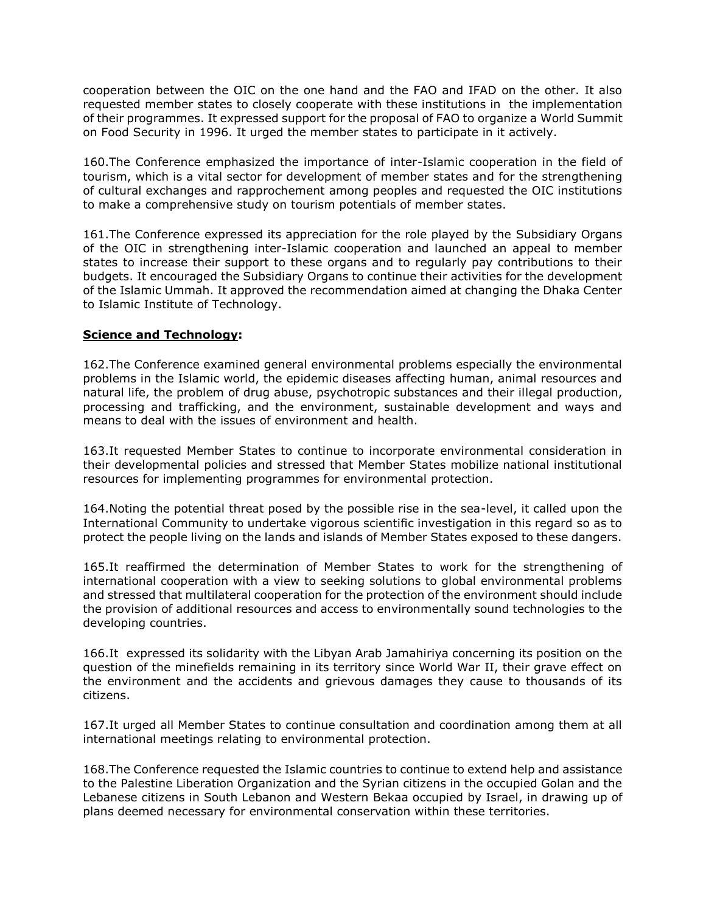cooperation between the OIC on the one hand and the FAO and IFAD on the other. It also requested member states to closely cooperate with these institutions in the implementation of their programmes. It expressed support for the proposal of FAO to organize a World Summit on Food Security in 1996. It urged the member states to participate in it actively.

160.The Conference emphasized the importance of inter-Islamic cooperation in the field of tourism, which is a vital sector for development of member states and for the strengthening of cultural exchanges and rapprochement among peoples and requested the OIC institutions to make a comprehensive study on tourism potentials of member states.

161.The Conference expressed its appreciation for the role played by the Subsidiary Organs of the OIC in strengthening inter-Islamic cooperation and launched an appeal to member states to increase their support to these organs and to regularly pay contributions to their budgets. It encouraged the Subsidiary Organs to continue their activities for the development of the Islamic Ummah. It approved the recommendation aimed at changing the Dhaka Center to Islamic Institute of Technology.

# **Science and Technology:**

162.The Conference examined general environmental problems especially the environmental problems in the Islamic world, the epidemic diseases affecting human, animal resources and natural life, the problem of drug abuse, psychotropic substances and their illegal production, processing and trafficking, and the environment, sustainable development and ways and means to deal with the issues of environment and health.

163.It requested Member States to continue to incorporate environmental consideration in their developmental policies and stressed that Member States mobilize national institutional resources for implementing programmes for environmental protection.

164.Noting the potential threat posed by the possible rise in the sea-level, it called upon the International Community to undertake vigorous scientific investigation in this regard so as to protect the people living on the lands and islands of Member States exposed to these dangers.

165.It reaffirmed the determination of Member States to work for the strengthening of international cooperation with a view to seeking solutions to global environmental problems and stressed that multilateral cooperation for the protection of the environment should include the provision of additional resources and access to environmentally sound technologies to the developing countries.

166.It expressed its solidarity with the Libyan Arab Jamahiriya concerning its position on the question of the minefields remaining in its territory since World War II, their grave effect on the environment and the accidents and grievous damages they cause to thousands of its citizens.

167.It urged all Member States to continue consultation and coordination among them at all international meetings relating to environmental protection.

168.The Conference requested the Islamic countries to continue to extend help and assistance to the Palestine Liberation Organization and the Syrian citizens in the occupied Golan and the Lebanese citizens in South Lebanon and Western Bekaa occupied by Israel, in drawing up of plans deemed necessary for environmental conservation within these territories.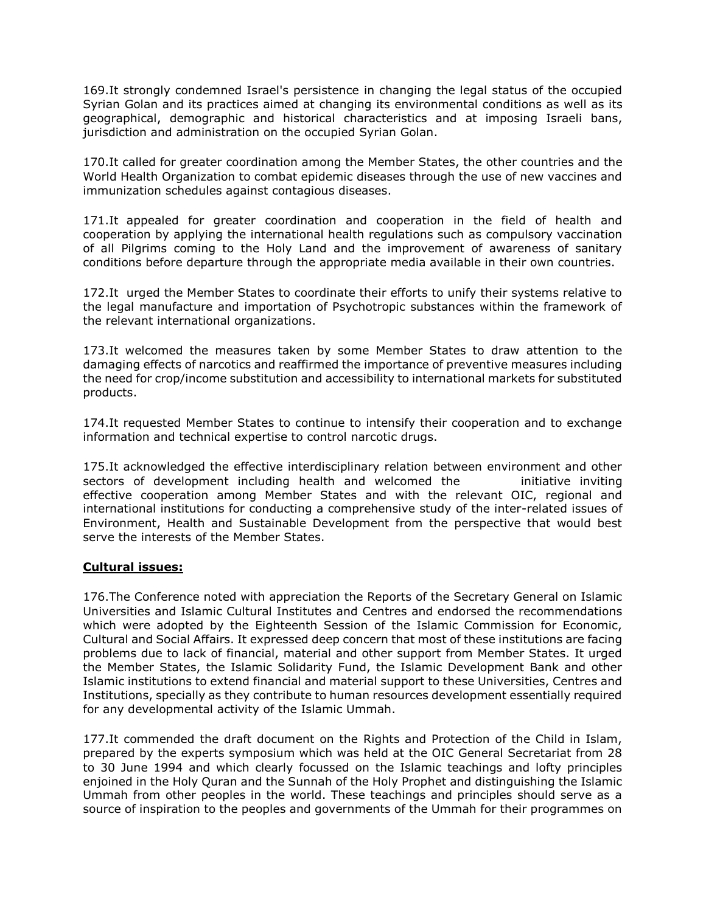169.It strongly condemned Israel's persistence in changing the legal status of the occupied Syrian Golan and its practices aimed at changing its environmental conditions as well as its geographical, demographic and historical characteristics and at imposing Israeli bans, jurisdiction and administration on the occupied Syrian Golan.

170.It called for greater coordination among the Member States, the other countries and the World Health Organization to combat epidemic diseases through the use of new vaccines and immunization schedules against contagious diseases.

171.It appealed for greater coordination and cooperation in the field of health and cooperation by applying the international health regulations such as compulsory vaccination of all Pilgrims coming to the Holy Land and the improvement of awareness of sanitary conditions before departure through the appropriate media available in their own countries.

172.It urged the Member States to coordinate their efforts to unify their systems relative to the legal manufacture and importation of Psychotropic substances within the framework of the relevant international organizations.

173.It welcomed the measures taken by some Member States to draw attention to the damaging effects of narcotics and reaffirmed the importance of preventive measures including the need for crop/income substitution and accessibility to international markets for substituted products.

174.It requested Member States to continue to intensify their cooperation and to exchange information and technical expertise to control narcotic drugs.

175.It acknowledged the effective interdisciplinary relation between environment and other sectors of development including health and welcomed the initiative inviting effective cooperation among Member States and with the relevant OIC, regional and international institutions for conducting a comprehensive study of the inter-related issues of Environment, Health and Sustainable Development from the perspective that would best serve the interests of the Member States.

# **Cultural issues:**

176.The Conference noted with appreciation the Reports of the Secretary General on Islamic Universities and Islamic Cultural Institutes and Centres and endorsed the recommendations which were adopted by the Eighteenth Session of the Islamic Commission for Economic, Cultural and Social Affairs. It expressed deep concern that most of these institutions are facing problems due to lack of financial, material and other support from Member States. It urged the Member States, the Islamic Solidarity Fund, the Islamic Development Bank and other Islamic institutions to extend financial and material support to these Universities, Centres and Institutions, specially as they contribute to human resources development essentially required for any developmental activity of the Islamic Ummah.

177.It commended the draft document on the Rights and Protection of the Child in Islam, prepared by the experts symposium which was held at the OIC General Secretariat from 28 to 30 June 1994 and which clearly focussed on the Islamic teachings and lofty principles enjoined in the Holy Quran and the Sunnah of the Holy Prophet and distinguishing the Islamic Ummah from other peoples in the world. These teachings and principles should serve as a source of inspiration to the peoples and governments of the Ummah for their programmes on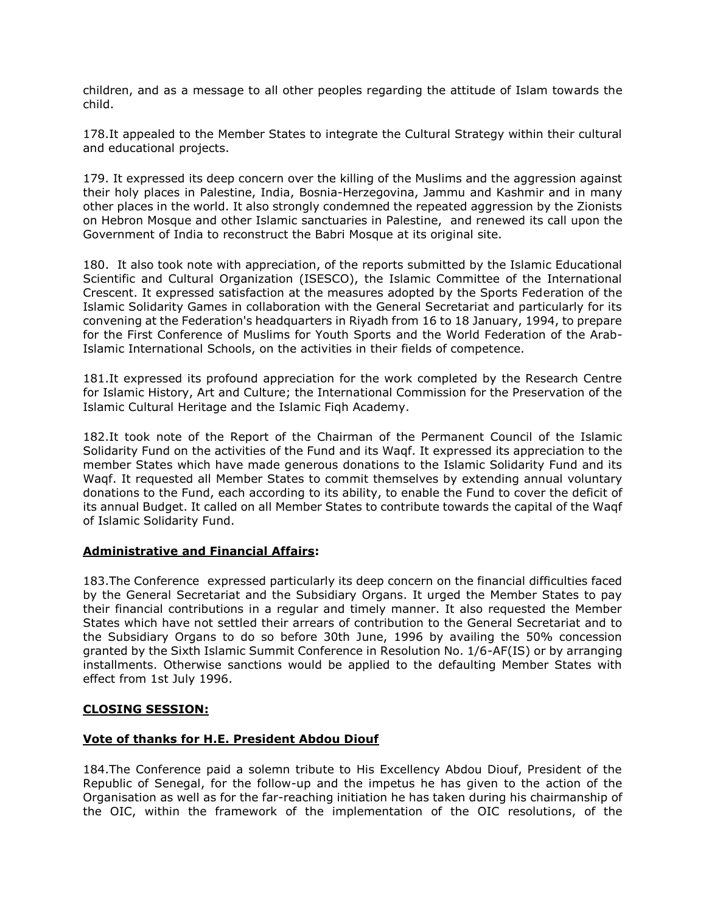children, and as a message to all other peoples regarding the attitude of Islam towards the child.

178.It appealed to the Member States to integrate the Cultural Strategy within their cultural and educational projects.

179. It expressed its deep concern over the killing of the Muslims and the aggression against their holy places in Palestine, India, Bosnia-Herzegovina, Jammu and Kashmir and in many other places in the world. It also strongly condemned the repeated aggression by the Zionists on Hebron Mosque and other Islamic sanctuaries in Palestine, and renewed its call upon the Government of India to reconstruct the Babri Mosque at its original site.

180. It also took note with appreciation, of the reports submitted by the Islamic Educational Scientific and Cultural Organization (ISESCO), the Islamic Committee of the International Crescent. It expressed satisfaction at the measures adopted by the Sports Federation of the Islamic Solidarity Games in collaboration with the General Secretariat and particularly for its convening at the Federation's headquarters in Riyadh from 16 to 18 January, 1994, to prepare for the First Conference of Muslims for Youth Sports and the World Federation of the Arab-Islamic International Schools, on the activities in their fields of competence.

181.It expressed its profound appreciation for the work completed by the Research Centre for Islamic History, Art and Culture; the International Commission for the Preservation of the Islamic Cultural Heritage and the Islamic Fiqh Academy.

182.It took note of the Report of the Chairman of the Permanent Council of the Islamic Solidarity Fund on the activities of the Fund and its Waqf. It expressed its appreciation to the member States which have made generous donations to the Islamic Solidarity Fund and its Waqf. It requested all Member States to commit themselves by extending annual voluntary donations to the Fund, each according to its ability, to enable the Fund to cover the deficit of its annual Budget. It called on all Member States to contribute towards the capital of the Waqf of Islamic Solidarity Fund.

# **Administrative and Financial Affairs:**

183.The Conference expressed particularly its deep concern on the financial difficulties faced by the General Secretariat and the Subsidiary Organs. It urged the Member States to pay their financial contributions in a regular and timely manner. It also requested the Member States which have not settled their arrears of contribution to the General Secretariat and to the Subsidiary Organs to do so before 30th June, 1996 by availing the 50% concession granted by the Sixth Islamic Summit Conference in Resolution No. 1/6-AF(IS) or by arranging installments. Otherwise sanctions would be applied to the defaulting Member States with effect from 1st July 1996.

# **CLOSING SESSION:**

# **Vote of thanks for H.E. President Abdou Diouf**

184.The Conference paid a solemn tribute to His Excellency Abdou Diouf, President of the Republic of Senegal, for the follow-up and the impetus he has given to the action of the Organisation as well as for the far-reaching initiation he has taken during his chairmanship of the OIC, within the framework of the implementation of the OIC resolutions, of the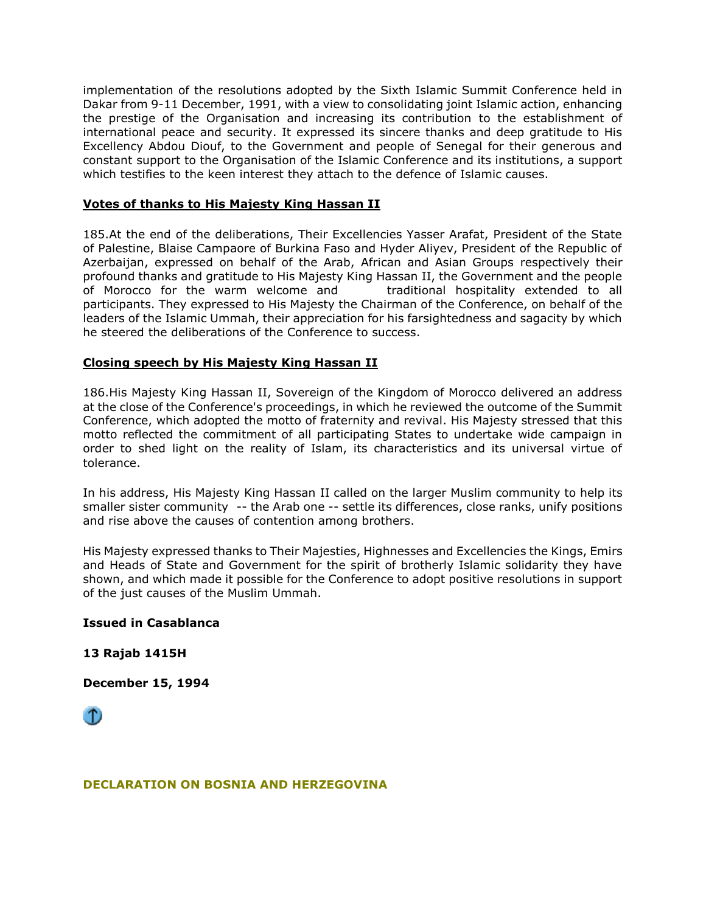implementation of the resolutions adopted by the Sixth Islamic Summit Conference held in Dakar from 9-11 December, 1991, with a view to consolidating joint Islamic action, enhancing the prestige of the Organisation and increasing its contribution to the establishment of international peace and security. It expressed its sincere thanks and deep gratitude to His Excellency Abdou Diouf, to the Government and people of Senegal for their generous and constant support to the Organisation of the Islamic Conference and its institutions, a support which testifies to the keen interest they attach to the defence of Islamic causes.

# **Votes of thanks to His Majesty King Hassan II**

185.At the end of the deliberations, Their Excellencies Yasser Arafat, President of the State of Palestine, Blaise Campaore of Burkina Faso and Hyder Aliyev, President of the Republic of Azerbaijan, expressed on behalf of the Arab, African and Asian Groups respectively their profound thanks and gratitude to His Majesty King Hassan II, the Government and the people of Morocco for the warm welcome and traditional hospitality extended to all participants. They expressed to His Majesty the Chairman of the Conference, on behalf of the leaders of the Islamic Ummah, their appreciation for his farsightedness and sagacity by which he steered the deliberations of the Conference to success.

# **Closing speech by His Majesty King Hassan II**

186.His Majesty King Hassan II, Sovereign of the Kingdom of Morocco delivered an address at the close of the Conference's proceedings, in which he reviewed the outcome of the Summit Conference, which adopted the motto of fraternity and revival. His Majesty stressed that this motto reflected the commitment of all participating States to undertake wide campaign in order to shed light on the reality of Islam, its characteristics and its universal virtue of tolerance.

In his address, His Majesty King Hassan II called on the larger Muslim community to help its smaller sister community -- the Arab one -- settle its differences, close ranks, unify positions and rise above the causes of contention among brothers.

His Majesty expressed thanks to Their Majesties, Highnesses and Excellencies the Kings, Emirs and Heads of State and Government for the spirit of brotherly Islamic solidarity they have shown, and which made it possible for the Conference to adopt positive resolutions in support of the just causes of the Muslim Ummah.

# **Issued in Casablanca**

**13 Rajab 1415H**

**December 15, 1994**



# **DECLARATION ON BOSNIA AND HERZEGOVINA**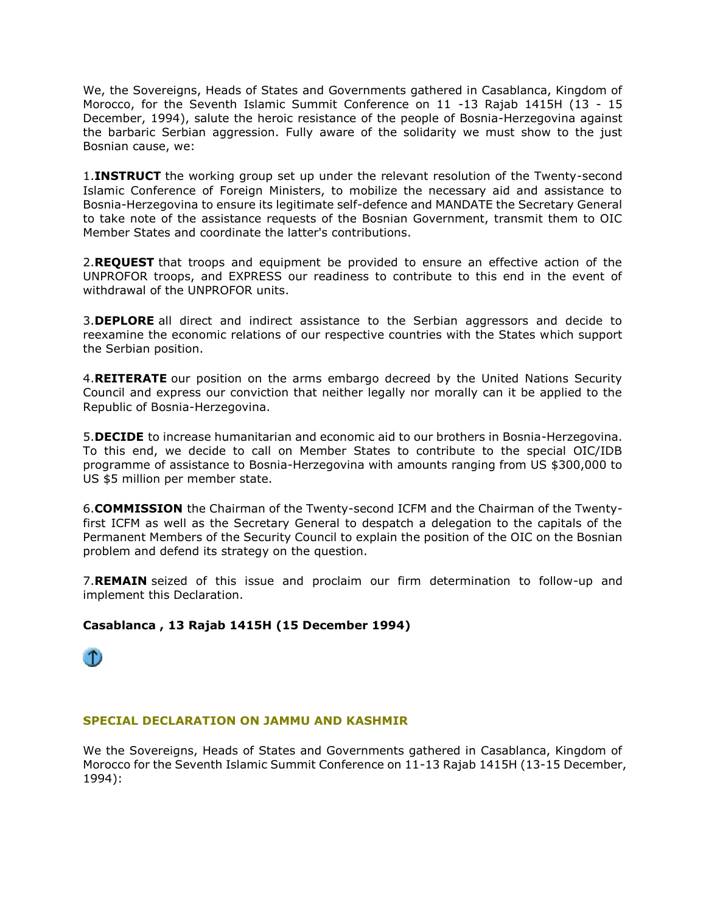We, the Sovereigns, Heads of States and Governments gathered in Casablanca, Kingdom of Morocco, for the Seventh Islamic Summit Conference on 11 -13 Rajab 1415H (13 - 15 December, 1994), salute the heroic resistance of the people of Bosnia-Herzegovina against the barbaric Serbian aggression. Fully aware of the solidarity we must show to the just Bosnian cause, we:

1.**INSTRUCT** the working group set up under the relevant resolution of the Twenty-second Islamic Conference of Foreign Ministers, to mobilize the necessary aid and assistance to Bosnia-Herzegovina to ensure its legitimate self-defence and MANDATE the Secretary General to take note of the assistance requests of the Bosnian Government, transmit them to OIC Member States and coordinate the latter's contributions.

2.**REQUEST** that troops and equipment be provided to ensure an effective action of the UNPROFOR troops, and EXPRESS our readiness to contribute to this end in the event of withdrawal of the UNPROFOR units.

3.**DEPLORE** all direct and indirect assistance to the Serbian aggressors and decide to reexamine the economic relations of our respective countries with the States which support the Serbian position.

4.**REITERATE** our position on the arms embargo decreed by the United Nations Security Council and express our conviction that neither legally nor morally can it be applied to the Republic of Bosnia-Herzegovina.

5.**DECIDE** to increase humanitarian and economic aid to our brothers in Bosnia-Herzegovina. To this end, we decide to call on Member States to contribute to the special OIC/IDB programme of assistance to Bosnia-Herzegovina with amounts ranging from US \$300,000 to US \$5 million per member state.

6.**COMMISSION** the Chairman of the Twenty-second ICFM and the Chairman of the Twentyfirst ICFM as well as the Secretary General to despatch a delegation to the capitals of the Permanent Members of the Security Council to explain the position of the OIC on the Bosnian problem and defend its strategy on the question.

7.**REMAIN** seized of this issue and proclaim our firm determination to follow-up and implement this Declaration.

# **Casablanca , 13 Rajab 1415H (15 December 1994)**



# **SPECIAL DECLARATION ON JAMMU AND KASHMIR**

We the Sovereigns, Heads of States and Governments gathered in Casablanca, Kingdom of Morocco for the Seventh Islamic Summit Conference on 11-13 Rajab 1415H (13-15 December, 1994):